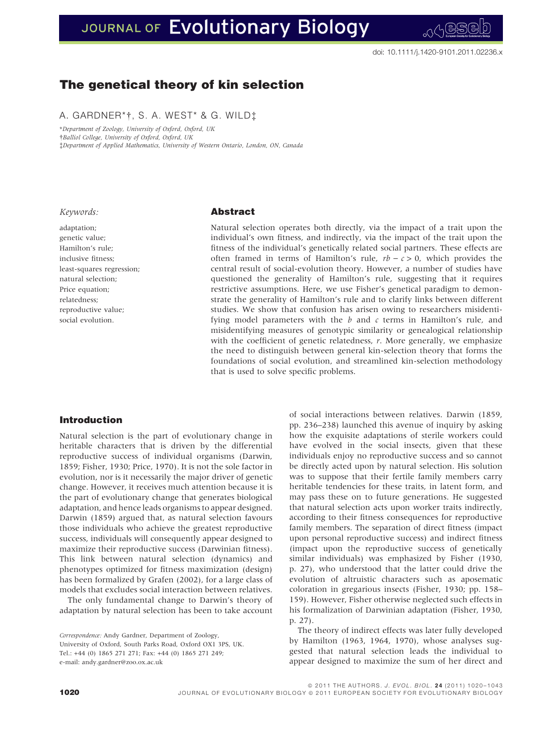# JOURNAL OF Evolutionary Biology

 $0.09996$ 

# The genetical theory of kin selection

A. GARDNER\*†, S. A. WEST\* & G. WILD‡

\*Department of Zoology, University of Oxford, Oxford, UK -Balliol College, University of Oxford, Oxford, UK Department of Applied Mathematics, University of Western Ontario, London, ON, Canada

#### Keywords:

adaptation; genetic value; Hamilton's rule; inclusive fitness; least-squares regression; natural selection; Price equation; relatedness; reproductive value; social evolution.

## Abstract

Natural selection operates both directly, via the impact of a trait upon the individual's own fitness, and indirectly, via the impact of the trait upon the fitness of the individual's genetically related social partners. These effects are often framed in terms of Hamilton's rule,  $rb - c > 0$ , which provides the central result of social-evolution theory. However, a number of studies have questioned the generality of Hamilton's rule, suggesting that it requires restrictive assumptions. Here, we use Fisher's genetical paradigm to demonstrate the generality of Hamilton's rule and to clarify links between different studies. We show that confusion has arisen owing to researchers misidentifying model parameters with the  $b$  and  $c$  terms in Hamilton's rule, and misidentifying measures of genotypic similarity or genealogical relationship with the coefficient of genetic relatedness, r. More generally, we emphasize the need to distinguish between general kin-selection theory that forms the foundations of social evolution, and streamlined kin-selection methodology that is used to solve specific problems.

## Introduction

Natural selection is the part of evolutionary change in heritable characters that is driven by the differential reproductive success of individual organisms (Darwin, 1859; Fisher, 1930; Price, 1970). It is not the sole factor in evolution, nor is it necessarily the major driver of genetic change. However, it receives much attention because it is the part of evolutionary change that generates biological adaptation, and hence leads organisms to appear designed. Darwin (1859) argued that, as natural selection favours those individuals who achieve the greatest reproductive success, individuals will consequently appear designed to maximize their reproductive success (Darwinian fitness). This link between natural selection (dynamics) and phenotypes optimized for fitness maximization (design) has been formalized by Grafen (2002), for a large class of models that excludes social interaction between relatives.

The only fundamental change to Darwin's theory of adaptation by natural selection has been to take account

Correspondence: Andy Gardner, Department of Zoology, University of Oxford, South Parks Road, Oxford OX1 3PS, UK. Tel.: +44 (0) 1865 271 271; Fax: +44 (0) 1865 271 249; e-mail: andy.gardner@zoo.ox.ac.uk

of social interactions between relatives. Darwin (1859, pp. 236–238) launched this avenue of inquiry by asking how the exquisite adaptations of sterile workers could have evolved in the social insects, given that these individuals enjoy no reproductive success and so cannot be directly acted upon by natural selection. His solution was to suppose that their fertile family members carry heritable tendencies for these traits, in latent form, and may pass these on to future generations. He suggested that natural selection acts upon worker traits indirectly, according to their fitness consequences for reproductive family members. The separation of direct fitness (impact upon personal reproductive success) and indirect fitness (impact upon the reproductive success of genetically similar individuals) was emphasized by Fisher (1930, p. 27), who understood that the latter could drive the evolution of altruistic characters such as aposematic coloration in gregarious insects (Fisher, 1930; pp. 158– 159). However, Fisher otherwise neglected such effects in his formalization of Darwinian adaptation (Fisher, 1930, p. 27).

The theory of indirect effects was later fully developed by Hamilton (1963, 1964, 1970), whose analyses suggested that natural selection leads the individual to appear designed to maximize the sum of her direct and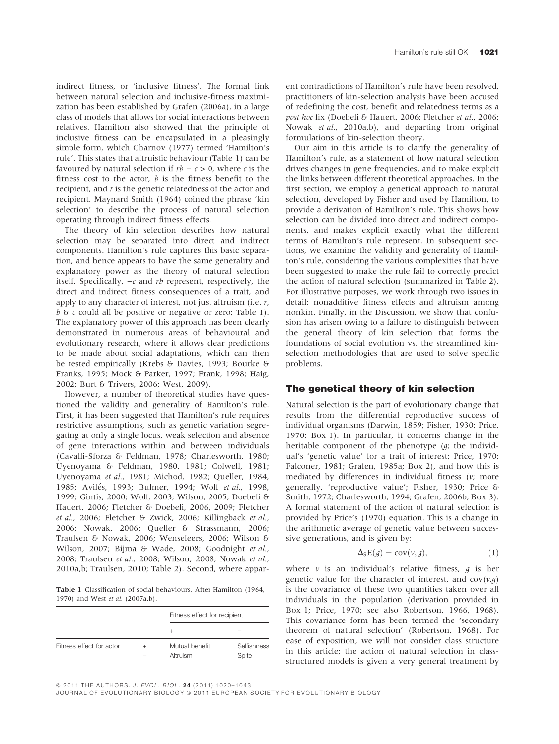indirect fitness, or 'inclusive fitness'. The formal link between natural selection and inclusive-fitness maximization has been established by Grafen (2006a), in a large class of models that allows for social interactions between relatives. Hamilton also showed that the principle of inclusive fitness can be encapsulated in a pleasingly simple form, which Charnov (1977) termed 'Hamilton's rule'. This states that altruistic behaviour (Table 1) can be favoured by natural selection if  $rb - c > 0$ , where c is the fitness cost to the actor,  $b$  is the fitness benefit to the recipient, and  $r$  is the genetic relatedness of the actor and recipient. Maynard Smith (1964) coined the phrase 'kin selection' to describe the process of natural selection operating through indirect fitness effects.

The theory of kin selection describes how natural selection may be separated into direct and indirect components. Hamilton's rule captures this basic separation, and hence appears to have the same generality and explanatory power as the theory of natural selection itself. Specifically,  $-c$  and rb represent, respectively, the direct and indirect fitness consequences of a trait, and apply to any character of interest, not just altruism (i.e. r,  $b \& c$  could all be positive or negative or zero; Table 1). The explanatory power of this approach has been clearly demonstrated in numerous areas of behavioural and evolutionary research, where it allows clear predictions to be made about social adaptations, which can then be tested empirically (Krebs & Davies, 1993; Bourke & Franks, 1995; Mock & Parker, 1997; Frank, 1998; Haig, 2002; Burt & Trivers, 2006; West, 2009).

However, a number of theoretical studies have questioned the validity and generality of Hamilton's rule. First, it has been suggested that Hamilton's rule requires restrictive assumptions, such as genetic variation segregating at only a single locus, weak selection and absence of gene interactions within and between individuals (Cavalli-Sforza & Feldman, 1978; Charlesworth, 1980; Uyenoyama & Feldman, 1980, 1981; Colwell, 1981; Uyenoyama et al., 1981; Michod, 1982; Queller, 1984, 1985; Avilés, 1993; Bulmer, 1994; Wolf et al., 1998, 1999; Gintis, 2000; Wolf, 2003; Wilson, 2005; Doebeli & Hauert, 2006; Fletcher & Doebeli, 2006, 2009; Fletcher et al., 2006; Fletcher & Zwick, 2006; Killingback et al., 2006; Nowak, 2006; Queller & Strassmann, 2006; Traulsen & Nowak, 2006; Wenseleers, 2006; Wilson & Wilson, 2007; Bijma & Wade, 2008; Goodnight et al., 2008; Traulsen et al., 2008; Wilson, 2008; Nowak et al., 2010a,b; Traulsen, 2010; Table 2). Second, where appar-

Table 1 Classification of social behaviours. After Hamilton (1964, 1970) and West et al. (2007a,b).

|                          | Fitness effect for recipient |                      |
|--------------------------|------------------------------|----------------------|
|                          |                              |                      |
| Fitness effect for actor | Mutual benefit<br>Altruism   | Selfishness<br>Spite |

ent contradictions of Hamilton's rule have been resolved, practitioners of kin-selection analysis have been accused of redefining the cost, benefit and relatedness terms as a post hoc fix (Doebeli & Hauert, 2006; Fletcher et al., 2006; Nowak et al., 2010a,b), and departing from original formulations of kin-selection theory.

Our aim in this article is to clarify the generality of Hamilton's rule, as a statement of how natural selection drives changes in gene frequencies, and to make explicit the links between different theoretical approaches. In the first section, we employ a genetical approach to natural selection, developed by Fisher and used by Hamilton, to provide a derivation of Hamilton's rule. This shows how selection can be divided into direct and indirect components, and makes explicit exactly what the different terms of Hamilton's rule represent. In subsequent sections, we examine the validity and generality of Hamilton's rule, considering the various complexities that have been suggested to make the rule fail to correctly predict the action of natural selection (summarized in Table 2). For illustrative purposes, we work through two issues in detail: nonadditive fitness effects and altruism among nonkin. Finally, in the Discussion, we show that confusion has arisen owing to a failure to distinguish between the general theory of kin selection that forms the foundations of social evolution vs. the streamlined kinselection methodologies that are used to solve specific problems.

#### The genetical theory of kin selection

Natural selection is the part of evolutionary change that results from the differential reproductive success of individual organisms (Darwin, 1859; Fisher, 1930; Price, 1970; Box 1). In particular, it concerns change in the heritable component of the phenotype (g; the individual's 'genetic value' for a trait of interest; Price, 1970; Falconer, 1981; Grafen, 1985a; Box 2), and how this is mediated by differences in individual fitness (v; more generally, 'reproductive value'; Fisher, 1930; Price & Smith, 1972; Charlesworth, 1994; Grafen, 2006b; Box 3). A formal statement of the action of natural selection is provided by Price's (1970) equation. This is a change in the arithmetic average of genetic value between successive generations, and is given by:

$$
\Delta_{\mathcal{S}}E(g) = \text{cov}(\nu, g),\tag{1}
$$

where  $v$  is an individual's relative fitness,  $g$  is her genetic value for the character of interest, and  $cov(v,g)$ is the covariance of these two quantities taken over all individuals in the population (derivation provided in Box 1; Price, 1970; see also Robertson, 1966, 1968). This covariance form has been termed the 'secondary theorem of natural selection' (Robertson, 1968). For ease of exposition, we will not consider class structure in this article; the action of natural selection in classstructured models is given a very general treatment by

ª 2011 THE AUTHORS. J. EVOL. BIOL. 2 4 (2011) 1020–1043

JOURNAL OF EVOLUTIONARY BIOLOGY ª 2011 EUROPEAN SOCIETY FOR EVOLUTIONARY BIOLOGY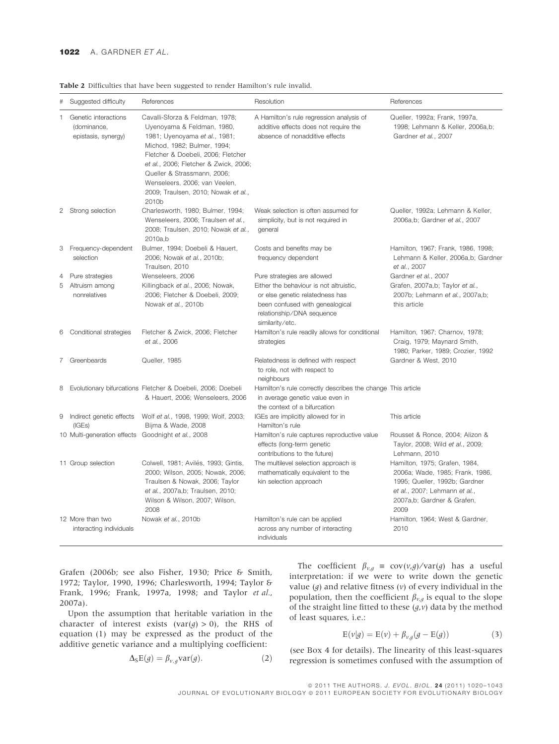#### 1022 A. GARDNER ET AL.

|   | Suggested difficulty                                       | References                                                                                                                                                                                                                                                                                                                               | Resolution                                                                                                                                                                                   | References                                                                                                                                                               |
|---|------------------------------------------------------------|------------------------------------------------------------------------------------------------------------------------------------------------------------------------------------------------------------------------------------------------------------------------------------------------------------------------------------------|----------------------------------------------------------------------------------------------------------------------------------------------------------------------------------------------|--------------------------------------------------------------------------------------------------------------------------------------------------------------------------|
| 1 | Genetic interactions<br>(dominance,<br>epistasis, synergy) | Cavalli-Sforza & Feldman, 1978;<br>Uyenoyama & Feldman, 1980,<br>1981; Uyenoyama et al., 1981;<br>Michod, 1982; Bulmer, 1994;<br>Fletcher & Doebeli, 2006; Fletcher<br>et al., 2006; Fletcher & Zwick, 2006;<br>Queller & Strassmann, 2006;<br>Wenseleers, 2006; van Veelen,<br>2009; Traulsen, 2010; Nowak et al.,<br>2010 <sub>b</sub> | A Hamilton's rule regression analysis of<br>additive effects does not require the<br>absence of nonadditive effects                                                                          | Queller, 1992a; Frank, 1997a,<br>1998; Lehmann & Keller, 2006a.b;<br>Gardner et al., 2007                                                                                |
| 2 | Strong selection                                           | Charlesworth, 1980; Bulmer, 1994;<br>Wenseleers, 2006; Traulsen et al.,<br>2008; Traulsen, 2010; Nowak et al.,<br>2010a,b                                                                                                                                                                                                                | Weak selection is often assumed for<br>simplicity, but is not required in<br>general                                                                                                         | Queller, 1992a; Lehmann & Keller,<br>2006a,b; Gardner et al., 2007                                                                                                       |
| 3 | Frequency-dependent<br>selection                           | Bulmer, 1994; Doebeli & Hauert,<br>2006; Nowak et al., 2010b;<br>Traulsen, 2010                                                                                                                                                                                                                                                          | Costs and benefits may be<br>frequency dependent                                                                                                                                             | Hamilton, 1967; Frank, 1986, 1998;<br>Lehmann & Keller, 2006a,b; Gardner<br>et al., 2007                                                                                 |
| 4 | Pure strategies<br>5 Altruism among<br>nonrelatives        | Wenseleers, 2006<br>Killingback et al., 2006; Nowak,<br>2006; Fletcher & Doebeli, 2009;<br>Nowak et al., 2010b                                                                                                                                                                                                                           | Pure strategies are allowed<br>Either the behaviour is not altruistic,<br>or else genetic relatedness has<br>been confused with genealogical<br>relationship/DNA sequence<br>similarity/etc. | Gardner et al., 2007<br>Grafen, 2007a,b; Taylor et al.,<br>2007b; Lehmann et al., 2007a,b;<br>this article                                                               |
|   | 6 Conditional strategies                                   | Fletcher & Zwick, 2006; Fletcher<br>et al., 2006                                                                                                                                                                                                                                                                                         | Hamilton's rule readily allows for conditional<br>strategies                                                                                                                                 | Hamilton, 1967; Charnov, 1978;<br>Craig, 1979; Maynard Smith,<br>1980; Parker, 1989; Crozier, 1992                                                                       |
| 7 | Greenbeards                                                | Queller, 1985                                                                                                                                                                                                                                                                                                                            | Relatedness is defined with respect<br>to role, not with respect to<br>neighbours                                                                                                            | Gardner & West, 2010                                                                                                                                                     |
|   |                                                            | 8 Evolutionary bifurcations Fletcher & Doebeli, 2006; Doebeli<br>& Hauert, 2006; Wenseleers, 2006                                                                                                                                                                                                                                        | Hamilton's rule correctly describes the change This article<br>in average genetic value even in<br>the context of a bifurcation                                                              |                                                                                                                                                                          |
| 9 | (IGEs)                                                     | Indirect genetic effects Wolf et al., 1998, 1999; Wolf, 2003;<br>Bijma & Wade, 2008                                                                                                                                                                                                                                                      | IGEs are implicitly allowed for in<br>Hamilton's rule                                                                                                                                        | This article                                                                                                                                                             |
|   | 10 Multi-generation effects Goodnight et al., 2008         |                                                                                                                                                                                                                                                                                                                                          | Hamilton's rule captures reproductive value<br>effects (long-term genetic<br>contributions to the future)                                                                                    | Rousset & Ronce, 2004; Alizon &<br>Taylor, 2008; Wild et al., 2009;<br>Lehmann, 2010                                                                                     |
|   | 11 Group selection                                         | Colwell, 1981; Avilés, 1993; Gintis,<br>2000; Wilson, 2005; Nowak, 2006;<br>Traulsen & Nowak, 2006; Taylor<br>et al., 2007a,b; Traulsen, 2010;<br>Wilson & Wilson, 2007; Wilson,<br>2008                                                                                                                                                 | The multilevel selection approach is<br>mathematically equivalent to the<br>kin selection approach                                                                                           | Hamilton, 1975; Grafen, 1984,<br>2006a; Wade, 1985; Frank, 1986,<br>1995; Queller, 1992b; Gardner<br>et al., 2007; Lehmann et al.,<br>2007a,b; Gardner & Grafen,<br>2009 |
|   | 12 More than two<br>interacting individuals                | Nowak et al., 2010b                                                                                                                                                                                                                                                                                                                      | Hamilton's rule can be applied<br>across any number of interacting<br>individuals                                                                                                            | Hamilton, 1964; West & Gardner,<br>2010                                                                                                                                  |

Table 2 Difficulties that have been suggested to render Hamilton's rule invalid.

Grafen (2006b; see also Fisher, 1930; Price & Smith, 1972; Taylor, 1990, 1996; Charlesworth, 1994; Taylor & Frank, 1996; Frank, 1997a, 1998; and Taylor et al., 2007a).

Upon the assumption that heritable variation in the character of interest exists (var(g)  $> 0$ ), the RHS of equation (1) may be expressed as the product of the additive genetic variance and a multiplying coefficient:

$$
\Delta_{\mathcal{S}}E(g) = \beta_{\nu,g} \text{var}(g). \tag{2}
$$

The coefficient  $\beta_{v,g} \equiv \text{cov}(v,g)/\text{var}(g)$  has a useful interpretation: if we were to write down the genetic value  $(g)$  and relative fitness  $(v)$  of every individual in the population, then the coefficient  $\beta_{v,g}$  is equal to the slope of the straight line fitted to these  $(g, v)$  data by the method of least squares, i.e.:

$$
E(v|g) = E(v) + \beta_{v,g}(g - E(g))
$$
\n(3)

(see Box 4 for details). The linearity of this least-squares regression is sometimes confused with the assumption of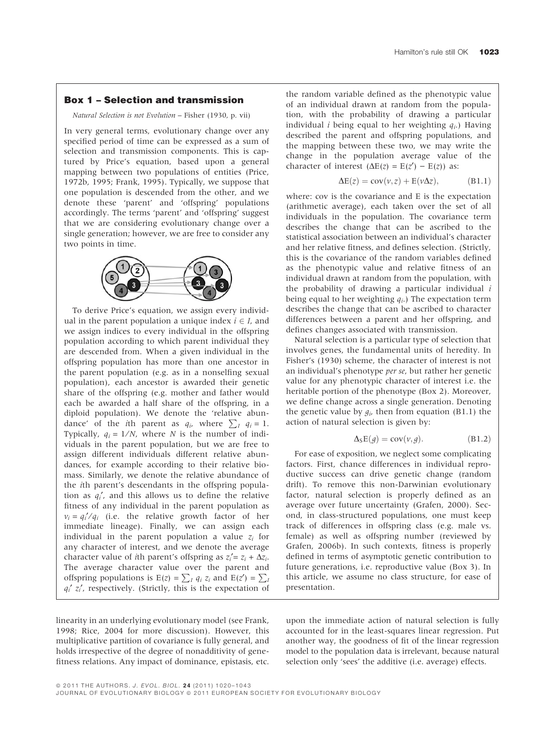## Box 1 – Selection and transmission

Natural Selection is not Evolution – Fisher (1930, p. vii)

In very general terms, evolutionary change over any specified period of time can be expressed as a sum of selection and transmission components. This is captured by Price's equation, based upon a general mapping between two populations of entities (Price, 1972b, 1995; Frank, 1995). Typically, we suppose that one population is descended from the other, and we denote these 'parent' and 'offspring' populations accordingly. The terms 'parent' and 'offspring' suggest that we are considering evolutionary change over a single generation; however, we are free to consider any two points in time.



To derive Price's equation, we assign every individual in the parent population a unique index  $i \in I$ , and we assign indices to every individual in the offspring population according to which parent individual they are descended from. When a given individual in the offspring population has more than one ancestor in the parent population (e.g. as in a nonselfing sexual population), each ancestor is awarded their genetic share of the offspring (e.g. mother and father would each be awarded a half share of the offspring, in a diploid population). We denote the 'relative abundance' of the *i*th parent as  $q_i$ , where  $\sum_{I} q_i = 1$ . Typically,  $q_i = 1/N$ , where N is the number of individuals in the parent population, but we are free to assign different individuals different relative abundances, for example according to their relative biomass. Similarly, we denote the relative abundance of the ith parent's descendants in the offspring population as  $q_i'$ , and this allows us to define the relative fitness of any individual in the parent population as  $v_i = q'_i / q_i$  (i.e. the relative growth factor of her immediate lineage). Finally, we can assign each individual in the parent population a value  $z_i$  for any character of interest, and we denote the average character value of *i*th parent's offspring as  $z_i' = z_i + \Delta z_i$ . The average character value over the parent and offspring populations is  $E(z) = \sum_{i} q_i z_i$  and  $E(z') = \sum_{i}$  $q_i'$  z<sub>i</sub>', respectively. (Strictly, this is the expectation of

the random variable defined as the phenotypic value of an individual drawn at random from the population, with the probability of drawing a particular individual *i* being equal to her weighting  $q_i$ .) Having described the parent and offspring populations, and the mapping between these two, we may write the change in the population average value of the character of interest  $(\Delta E(z) = E(z') - E(z))$  as:

$$
\Delta E(z) = cov(v, z) + E(v\Delta z), \qquad (B1.1)
$$

where: cov is the covariance and E is the expectation (arithmetic average), each taken over the set of all individuals in the population. The covariance term describes the change that can be ascribed to the statistical association between an individual's character and her relative fitness, and defines selection. (Strictly, this is the covariance of the random variables defined as the phenotypic value and relative fitness of an individual drawn at random from the population, with the probability of drawing a particular individual  $i$ being equal to her weighting  $q_i$ .) The expectation term describes the change that can be ascribed to character differences between a parent and her offspring, and defines changes associated with transmission.

Natural selection is a particular type of selection that involves genes, the fundamental units of heredity. In Fisher's (1930) scheme, the character of interest is not an individual's phenotype per se, but rather her genetic value for any phenotypic character of interest i.e. the heritable portion of the phenotype (Box 2). Moreover, we define change across a single generation. Denoting the genetic value by  $g_i$ , then from equation (B1.1) the action of natural selection is given by:

$$
\Delta_{\mathcal{S}}E(g) = \text{cov}(v, g). \tag{B1.2}
$$

For ease of exposition, we neglect some complicating factors. First, chance differences in individual reproductive success can drive genetic change (random drift). To remove this non-Darwinian evolutionary factor, natural selection is properly defined as an average over future uncertainty (Grafen, 2000). Second, in class-structured populations, one must keep track of differences in offspring class (e.g. male vs. female) as well as offspring number (reviewed by Grafen, 2006b). In such contexts, fitness is properly defined in terms of asymptotic genetic contribution to future generations, i.e. reproductive value (Box 3). In this article, we assume no class structure, for ease of presentation.

linearity in an underlying evolutionary model (see Frank, 1998; Rice, 2004 for more discussion). However, this multiplicative partition of covariance is fully general, and holds irrespective of the degree of nonadditivity of genefitness relations. Any impact of dominance, epistasis, etc.

upon the immediate action of natural selection is fully accounted for in the least-squares linear regression. Put another way, the goodness of fit of the linear regression model to the population data is irrelevant, because natural selection only 'sees' the additive (i.e. average) effects.

ª 2011 THE AUTHORS. J. EVOL. BIOL. 2 4 (2011) 1020–1043

JOURNAL OF EVOLUTIONARY BIOLOGY @ 2011 EUROPEAN SOCIETY FOR EVOLUTIONARY BIOLOGY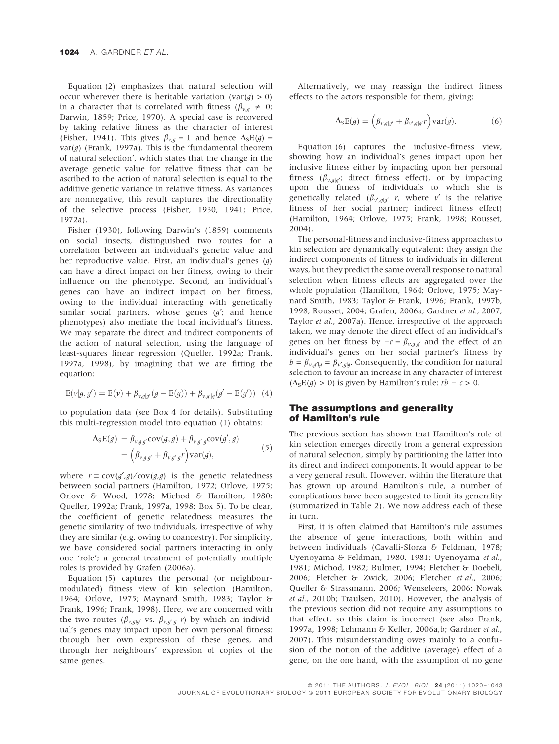Equation (2) emphasizes that natural selection will occur wherever there is heritable variation (var(q)  $> 0$ ) in a character that is correlated with fitness ( $\beta_{v,q} \neq 0$ ; Darwin, 1859; Price, 1970). A special case is recovered by taking relative fitness as the character of interest (Fisher, 1941). This gives  $\beta_{v,q} = 1$  and hence  $\Delta_S \mathbb{E}(q) =$ var(g) (Frank, 1997a). This is the 'fundamental theorem of natural selection', which states that the change in the average genetic value for relative fitness that can be ascribed to the action of natural selection is equal to the additive genetic variance in relative fitness. As variances are nonnegative, this result captures the directionality of the selective process (Fisher, 1930, 1941; Price, 1972a).

Fisher (1930), following Darwin's (1859) comments on social insects, distinguished two routes for a correlation between an individual's genetic value and her reproductive value. First, an individual's genes (g) can have a direct impact on her fitness, owing to their influence on the phenotype. Second, an individual's genes can have an indirect impact on her fitness, owing to the individual interacting with genetically similar social partners, whose genes  $(g')$ ; and hence phenotypes) also mediate the focal individual's fitness. We may separate the direct and indirect components of the action of natural selection, using the language of least-squares linear regression (Queller, 1992a; Frank, 1997a, 1998), by imagining that we are fitting the equation:

$$
E(v|g,g') = E(v) + \beta_{v,g|g'}(g - E(g)) + \beta_{v,g'|g}(g' - E(g')) \quad (4)
$$

to population data (see Box 4 for details). Substituting this multi-regression model into equation (1) obtains:

$$
\Delta_{S}E(g) = \beta_{v,g|g'}cov(g,g) + \beta_{v,g'|g}cov(g',g)
$$
  
= 
$$
\left(\beta_{v,g|g'} + \beta_{v,g'|g}r\right)var(g),
$$
 (5)

where  $r \equiv \text{cov}(g', g) / \text{cov}(g, g)$  is the genetic relatedness between social partners (Hamilton, 1972; Orlove, 1975; Orlove & Wood, 1978; Michod & Hamilton, 1980; Queller, 1992a; Frank, 1997a, 1998; Box 5). To be clear, the coefficient of genetic relatedness measures the genetic similarity of two individuals, irrespective of why they are similar (e.g. owing to coancestry). For simplicity, we have considered social partners interacting in only one 'role'; a general treatment of potentially multiple roles is provided by Grafen (2006a).

Equation (5) captures the personal (or neighbourmodulated) fitness view of kin selection (Hamilton, 1964; Orlove, 1975; Maynard Smith, 1983; Taylor & Frank, 1996; Frank, 1998). Here, we are concerned with the two routes ( $\beta_{\nu, g \mid g'}$  vs.  $\beta_{\nu, g' \mid g}$  r) by which an individual's genes may impact upon her own personal fitness: through her own expression of these genes, and through her neighbours' expression of copies of the same genes.

Alternatively, we may reassign the indirect fitness effects to the actors responsible for them, giving:

$$
\Delta_{S}E(g) = \left(\beta_{\nu,g|g'} + \beta_{\nu',g|g'}r\right) \text{var}(g). \tag{6}
$$

Equation (6) captures the inclusive-fitness view, showing how an individual's genes impact upon her inclusive fitness either by impacting upon her personal fitness ( $\beta_{\nu, q | q'}$ ; direct fitness effect), or by impacting upon the fitness of individuals to which she is genetically related ( $\beta_{v',g|g'}$  r, where v' is the relative fitness of her social partner; indirect fitness effect) (Hamilton, 1964; Orlove, 1975; Frank, 1998; Rousset, 2004).

The personal-fitness and inclusive-fitness approaches to kin selection are dynamically equivalent: they assign the indirect components of fitness to individuals in different ways, but they predict the same overall response to natural selection when fitness effects are aggregated over the whole population (Hamilton, 1964; Orlove, 1975; Maynard Smith, 1983; Taylor & Frank, 1996; Frank, 1997b, 1998; Rousset, 2004; Grafen, 2006a; Gardner et al., 2007; Taylor et al., 2007a). Hence, irrespective of the approach taken, we may denote the direct effect of an individual's genes on her fitness by  $-c = \beta_{\nu, g|g'}$  and the effect of an individual's genes on her social partner's fitness by  $b = \beta_{v,g' \mid g} = \beta_{v',g \mid g}$ . Consequently, the condition for natural selection to favour an increase in any character of interest  $(\Delta$ <sub>S</sub>E(*g*) > 0) is given by Hamilton's rule: *rb* – *c* > 0.

## The assumptions and generality of Hamilton's rule

The previous section has shown that Hamilton's rule of kin selection emerges directly from a general expression of natural selection, simply by partitioning the latter into its direct and indirect components. It would appear to be a very general result. However, within the literature that has grown up around Hamilton's rule, a number of complications have been suggested to limit its generality (summarized in Table 2). We now address each of these in turn.

First, it is often claimed that Hamilton's rule assumes the absence of gene interactions, both within and between individuals (Cavalli-Sforza & Feldman, 1978; Uyenoyama & Feldman, 1980, 1981; Uyenoyama et al., 1981; Michod, 1982; Bulmer, 1994; Fletcher & Doebeli, 2006; Fletcher & Zwick, 2006; Fletcher et al., 2006; Queller & Strassmann, 2006; Wenseleers, 2006; Nowak et al., 2010b; Traulsen, 2010). However, the analysis of the previous section did not require any assumptions to that effect, so this claim is incorrect (see also Frank, 1997a, 1998; Lehmann & Keller, 2006a,b; Gardner et al., 2007). This misunderstanding owes mainly to a confusion of the notion of the additive (average) effect of a gene, on the one hand, with the assumption of no gene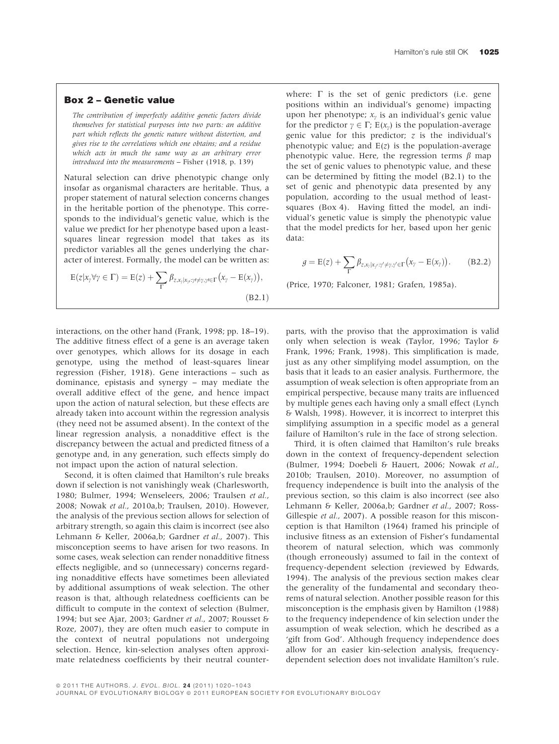## Box 2 – Genetic value

The contribution of imperfectly additive genetic factors divide themselves for statistical purposes into two parts: an additive part which reflects the genetic nature without distortion, and gives rise to the correlations which one obtains; and a residue which acts in much the same way as an arbitrary error introduced into the measurements – Fisher (1918, p. 139)

Natural selection can drive phenotypic change only insofar as organismal characters are heritable. Thus, a proper statement of natural selection concerns changes in the heritable portion of the phenotype. This corresponds to the individual's genetic value, which is the value we predict for her phenotype based upon a leastsquares linear regression model that takes as its predictor variables all the genes underlying the character of interest. Formally, the model can be written as:

$$
E(z|x_{\gamma}\forall\gamma\in\Gamma)=E(z)+\sum_{\Gamma}\beta_{z,x_{\gamma}|x_{\gamma},\gamma\neq\gamma,\gamma\prime\in\Gamma}(x_{\gamma}-E(x_{\gamma})),
$$
\n(B2.1)

interactions, on the other hand (Frank, 1998; pp. 18–19). The additive fitness effect of a gene is an average taken over genotypes, which allows for its dosage in each genotype, using the method of least-squares linear regression (Fisher, 1918). Gene interactions – such as dominance, epistasis and synergy – may mediate the overall additive effect of the gene, and hence impact upon the action of natural selection, but these effects are already taken into account within the regression analysis (they need not be assumed absent). In the context of the linear regression analysis, a nonadditive effect is the discrepancy between the actual and predicted fitness of a genotype and, in any generation, such effects simply do not impact upon the action of natural selection.

Second, it is often claimed that Hamilton's rule breaks down if selection is not vanishingly weak (Charlesworth, 1980; Bulmer, 1994; Wenseleers, 2006; Traulsen et al., 2008; Nowak et al., 2010a,b; Traulsen, 2010). However, the analysis of the previous section allows for selection of arbitrary strength, so again this claim is incorrect (see also Lehmann & Keller, 2006a,b; Gardner et al., 2007). This misconception seems to have arisen for two reasons. In some cases, weak selection can render nonadditive fitness effects negligible, and so (unnecessary) concerns regarding nonadditive effects have sometimes been alleviated by additional assumptions of weak selection. The other reason is that, although relatedness coefficients can be difficult to compute in the context of selection (Bulmer, 1994; but see Ajar, 2003; Gardner et al., 2007; Rousset & Roze, 2007), they are often much easier to compute in the context of neutral populations not undergoing selection. Hence, kin-selection analyses often approximate relatedness coefficients by their neutral counter-

where:  $\Gamma$  is the set of genic predictors (i.e. gene positions within an individual's genome) impacting upon her phenotype;  $x<sub>v</sub>$  is an individual's genic value for the predictor  $\gamma \in \Gamma$ ; E(x<sub>v</sub>) is the population-average genic value for this predictor; z is the individual's phenotypic value; and  $E(z)$  is the population-average phenotypic value. Here, the regression terms  $\beta$  map the set of genic values to phenotypic value, and these can be determined by fitting the model (B2.1) to the set of genic and phenotypic data presented by any population, according to the usual method of leastsquares (Box 4). Having fitted the model, an individual's genetic value is simply the phenotypic value that the model predicts for her, based upon her genic data:

$$
g = E(z) + \sum_{\Gamma} \beta_{z, x_{\gamma} | x_{\gamma} : \gamma' \neq \gamma, \gamma' \in \Gamma} (x_{\gamma} - E(x_{\gamma})).
$$
 (B2.2)

(Price, 1970; Falconer, 1981; Grafen, 1985a).

parts, with the proviso that the approximation is valid only when selection is weak (Taylor, 1996; Taylor & Frank, 1996; Frank, 1998). This simplification is made, just as any other simplifying model assumption, on the basis that it leads to an easier analysis. Furthermore, the assumption of weak selection is often appropriate from an empirical perspective, because many traits are influenced by multiple genes each having only a small effect (Lynch & Walsh, 1998). However, it is incorrect to interpret this simplifying assumption in a specific model as a general failure of Hamilton's rule in the face of strong selection.

Third, it is often claimed that Hamilton's rule breaks down in the context of frequency-dependent selection (Bulmer, 1994; Doebeli & Hauert, 2006; Nowak et al., 2010b; Traulsen, 2010). Moreover, no assumption of frequency independence is built into the analysis of the previous section, so this claim is also incorrect (see also Lehmann & Keller, 2006a,b; Gardner et al., 2007; Ross-Gillespie et al., 2007). A possible reason for this misconception is that Hamilton (1964) framed his principle of inclusive fitness as an extension of Fisher's fundamental theorem of natural selection, which was commonly (though erroneously) assumed to fail in the context of frequency-dependent selection (reviewed by Edwards, 1994). The analysis of the previous section makes clear the generality of the fundamental and secondary theorems of natural selection. Another possible reason for this misconception is the emphasis given by Hamilton (1988) to the frequency independence of kin selection under the assumption of weak selection, which he described as a 'gift from God'. Although frequency independence does allow for an easier kin-selection analysis, frequencydependent selection does not invalidate Hamilton's rule.

JOURNAL OF EVOLUTIONARY BIOLOGY ª 2011 EUROPEAN SOCIETY FOR EVOLUTIONARY BIOLOGY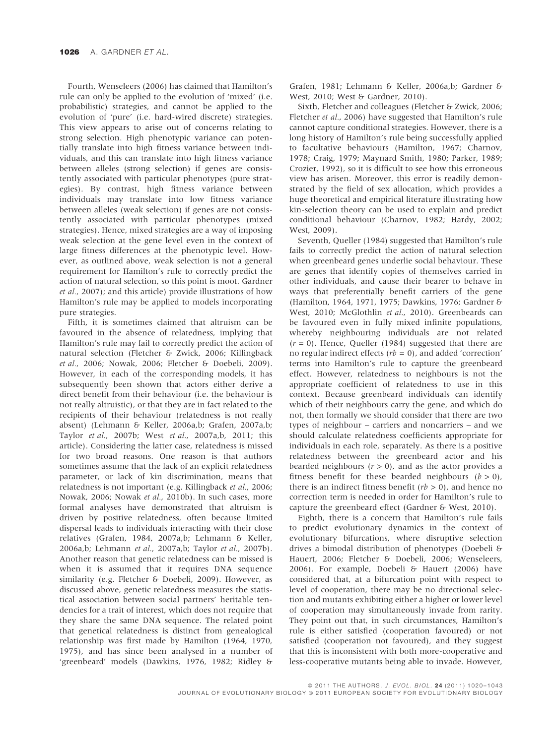Fourth, Wenseleers (2006) has claimed that Hamilton's rule can only be applied to the evolution of 'mixed' (i.e. probabilistic) strategies, and cannot be applied to the evolution of 'pure' (i.e. hard-wired discrete) strategies. This view appears to arise out of concerns relating to strong selection. High phenotypic variance can potentially translate into high fitness variance between individuals, and this can translate into high fitness variance between alleles (strong selection) if genes are consistently associated with particular phenotypes (pure strategies). By contrast, high fitness variance between individuals may translate into low fitness variance between alleles (weak selection) if genes are not consistently associated with particular phenotypes (mixed strategies). Hence, mixed strategies are a way of imposing weak selection at the gene level even in the context of large fitness differences at the phenotypic level. However, as outlined above, weak selection is not a general requirement for Hamilton's rule to correctly predict the action of natural selection, so this point is moot. Gardner et al., 2007); and this article) provide illustrations of how Hamilton's rule may be applied to models incorporating pure strategies.

Fifth, it is sometimes claimed that altruism can be favoured in the absence of relatedness, implying that Hamilton's rule may fail to correctly predict the action of natural selection (Fletcher & Zwick, 2006; Killingback et al., 2006; Nowak, 2006; Fletcher & Doebeli, 2009). However, in each of the corresponding models, it has subsequently been shown that actors either derive a direct benefit from their behaviour (i.e. the behaviour is not really altruistic), or that they are in fact related to the recipients of their behaviour (relatedness is not really absent) (Lehmann & Keller, 2006a,b; Grafen, 2007a,b; Taylor et al., 2007b; West et al., 2007a,b, 2011; this article). Considering the latter case, relatedness is missed for two broad reasons. One reason is that authors sometimes assume that the lack of an explicit relatedness parameter, or lack of kin discrimination, means that relatedness is not important (e.g. Killingback et al., 2006; Nowak, 2006; Nowak et al., 2010b). In such cases, more formal analyses have demonstrated that altruism is driven by positive relatedness, often because limited dispersal leads to individuals interacting with their close relatives (Grafen, 1984, 2007a,b; Lehmann & Keller, 2006a,b; Lehmann et al., 2007a,b; Taylor et al., 2007b). Another reason that genetic relatedness can be missed is when it is assumed that it requires DNA sequence similarity (e.g. Fletcher & Doebeli, 2009). However, as discussed above, genetic relatedness measures the statistical association between social partners' heritable tendencies for a trait of interest, which does not require that they share the same DNA sequence. The related point that genetical relatedness is distinct from genealogical relationship was first made by Hamilton (1964, 1970, 1975), and has since been analysed in a number of 'greenbeard' models (Dawkins, 1976, 1982; Ridley &

Grafen, 1981; Lehmann & Keller, 2006a,b; Gardner & West, 2010; West & Gardner, 2010).

Sixth, Fletcher and colleagues (Fletcher & Zwick, 2006; Fletcher et al., 2006) have suggested that Hamilton's rule cannot capture conditional strategies. However, there is a long history of Hamilton's rule being successfully applied to facultative behaviours (Hamilton, 1967; Charnov, 1978; Craig, 1979; Maynard Smith, 1980; Parker, 1989; Crozier, 1992), so it is difficult to see how this erroneous view has arisen. Moreover, this error is readily demonstrated by the field of sex allocation, which provides a huge theoretical and empirical literature illustrating how kin-selection theory can be used to explain and predict conditional behaviour (Charnov, 1982; Hardy, 2002; West, 2009).

Seventh, Queller (1984) suggested that Hamilton's rule fails to correctly predict the action of natural selection when greenbeard genes underlie social behaviour. These are genes that identify copies of themselves carried in other individuals, and cause their bearer to behave in ways that preferentially benefit carriers of the gene (Hamilton, 1964, 1971, 1975; Dawkins, 1976; Gardner & West, 2010; McGlothlin et al., 2010). Greenbeards can be favoured even in fully mixed infinite populations, whereby neighbouring individuals are not related  $(r = 0)$ . Hence, Queller (1984) suggested that there are no regular indirect effects ( $rb = 0$ ), and added 'correction' terms into Hamilton's rule to capture the greenbeard effect. However, relatedness to neighbours is not the appropriate coefficient of relatedness to use in this context. Because greenbeard individuals can identify which of their neighbours carry the gene, and which do not, then formally we should consider that there are two types of neighbour – carriers and noncarriers – and we should calculate relatedness coefficients appropriate for individuals in each role, separately. As there is a positive relatedness between the greenbeard actor and his bearded neighbours  $(r > 0)$ , and as the actor provides a fitness benefit for these bearded neighbours  $(b > 0)$ , there is an indirect fitness benefit  $(rb > 0)$ , and hence no correction term is needed in order for Hamilton's rule to capture the greenbeard effect (Gardner & West, 2010).

Eighth, there is a concern that Hamilton's rule fails to predict evolutionary dynamics in the context of evolutionary bifurcations, where disruptive selection drives a bimodal distribution of phenotypes (Doebeli & Hauert, 2006; Fletcher & Doebeli, 2006; Wenseleers, 2006). For example, Doebeli & Hauert (2006) have considered that, at a bifurcation point with respect to level of cooperation, there may be no directional selection and mutants exhibiting either a higher or lower level of cooperation may simultaneously invade from rarity. They point out that, in such circumstances, Hamilton's rule is either satisfied (cooperation favoured) or not satisfied (cooperation not favoured), and they suggest that this is inconsistent with both more-cooperative and less-cooperative mutants being able to invade. However,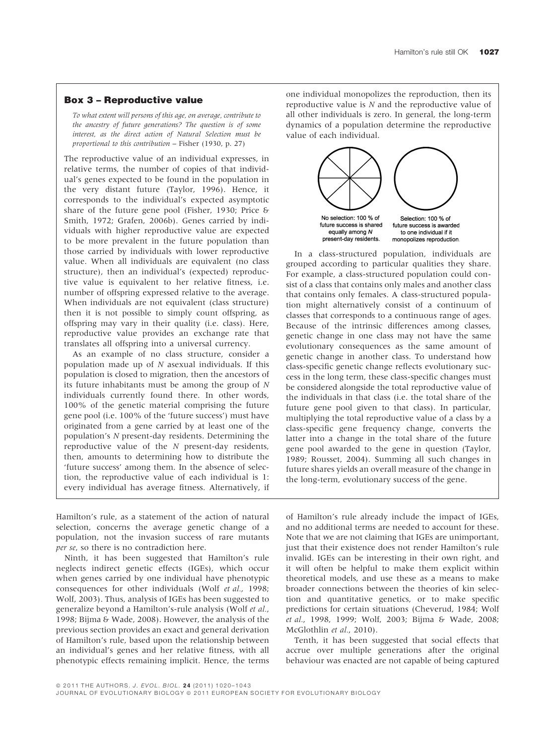# Box 3 – Reproductive value

To what extent will persons of this age, on average, contribute to the ancestry of future generations? The question is of some interest, as the direct action of Natural Selection must be proportional to this contribution – Fisher (1930, p. 27)

The reproductive value of an individual expresses, in relative terms, the number of copies of that individual's genes expected to be found in the population in the very distant future (Taylor, 1996). Hence, it corresponds to the individual's expected asymptotic share of the future gene pool (Fisher, 1930; Price & Smith, 1972; Grafen, 2006b). Genes carried by individuals with higher reproductive value are expected to be more prevalent in the future population than those carried by individuals with lower reproductive value. When all individuals are equivalent (no class structure), then an individual's (expected) reproductive value is equivalent to her relative fitness, i.e. number of offspring expressed relative to the average. When individuals are not equivalent (class structure) then it is not possible to simply count offspring, as offspring may vary in their quality (i.e. class). Here, reproductive value provides an exchange rate that translates all offspring into a universal currency.

As an example of no class structure, consider a population made up of N asexual individuals. If this population is closed to migration, then the ancestors of its future inhabitants must be among the group of  $N$ individuals currently found there. In other words, 100% of the genetic material comprising the future gene pool (i.e. 100% of the 'future success') must have originated from a gene carried by at least one of the population's N present-day residents. Determining the reproductive value of the N present-day residents, then, amounts to determining how to distribute the 'future success' among them. In the absence of selection, the reproductive value of each individual is 1: every individual has average fitness. Alternatively, if

Hamilton's rule, as a statement of the action of natural selection, concerns the average genetic change of a population, not the invasion success of rare mutants per se, so there is no contradiction here.

Ninth, it has been suggested that Hamilton's rule neglects indirect genetic effects (IGEs), which occur when genes carried by one individual have phenotypic consequences for other individuals (Wolf et al., 1998; Wolf, 2003). Thus, analysis of IGEs has been suggested to generalize beyond a Hamilton's-rule analysis (Wolf et al., 1998; Bijma & Wade, 2008). However, the analysis of the previous section provides an exact and general derivation of Hamilton's rule, based upon the relationship between an individual's genes and her relative fitness, with all phenotypic effects remaining implicit. Hence, the terms

one individual monopolizes the reproduction, then its reproductive value is N and the reproductive value of all other individuals is zero. In general, the long-term dynamics of a population determine the reproductive value of each individual.



In a class-structured population, individuals are grouped according to particular qualities they share. For example, a class-structured population could consist of a class that contains only males and another class that contains only females. A class-structured population might alternatively consist of a continuum of classes that corresponds to a continuous range of ages. Because of the intrinsic differences among classes, genetic change in one class may not have the same evolutionary consequences as the same amount of genetic change in another class. To understand how class-specific genetic change reflects evolutionary success in the long term, these class-specific changes must be considered alongside the total reproductive value of the individuals in that class (i.e. the total share of the future gene pool given to that class). In particular, multiplying the total reproductive value of a class by a class-specific gene frequency change, converts the latter into a change in the total share of the future gene pool awarded to the gene in question (Taylor, 1989; Rousset, 2004). Summing all such changes in future shares yields an overall measure of the change in the long-term, evolutionary success of the gene.

of Hamilton's rule already include the impact of IGEs, and no additional terms are needed to account for these. Note that we are not claiming that IGEs are unimportant, just that their existence does not render Hamilton's rule invalid. IGEs can be interesting in their own right, and it will often be helpful to make them explicit within theoretical models, and use these as a means to make broader connections between the theories of kin selection and quantitative genetics, or to make specific predictions for certain situations (Cheverud, 1984; Wolf et al., 1998, 1999; Wolf, 2003; Bijma & Wade, 2008; McGlothlin et al., 2010).

Tenth, it has been suggested that social effects that accrue over multiple generations after the original behaviour was enacted are not capable of being captured

ª 2011 THE AUTHORS. J. EVOL. BIOL. 2 4 (2011) 1020–1043

JOURNAL OF EVOLUTIONARY BIOLOGY ª 2011 EUROPEAN SOCIETY FOR EVOLUTIONARY BIOLOGY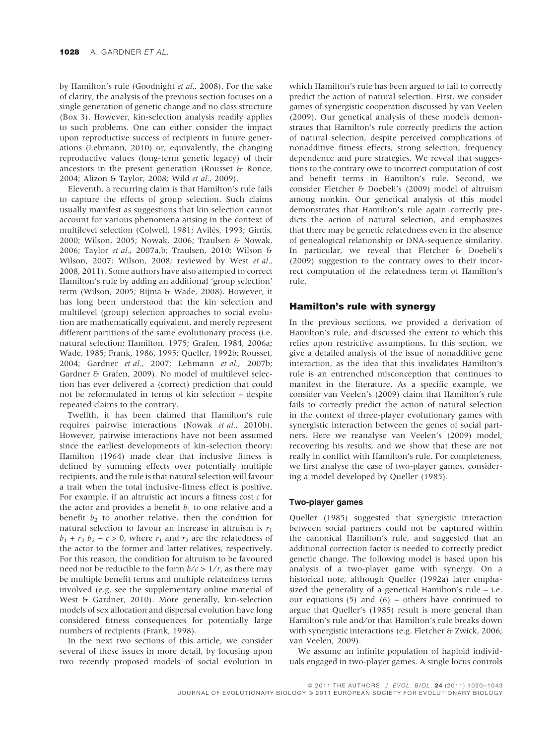by Hamilton's rule (Goodnight et al., 2008). For the sake of clarity, the analysis of the previous section focuses on a single generation of genetic change and no class structure (Box 3). However, kin-selection analysis readily applies to such problems. One can either consider the impact upon reproductive success of recipients in future generations (Lehmann, 2010) or, equivalently, the changing reproductive values (long-term genetic legacy) of their ancestors in the present generation (Rousset & Ronce, 2004; Alizon & Taylor, 2008; Wild et al., 2009).

Eleventh, a recurring claim is that Hamilton's rule fails to capture the effects of group selection. Such claims usually manifest as suggestions that kin selection cannot account for various phenomena arising in the context of multilevel selection (Colwell, 1981; Avilés, 1993; Gintis, 2000; Wilson, 2005; Nowak, 2006; Traulsen & Nowak, 2006; Taylor et al., 2007a,b; Traulsen, 2010; Wilson & Wilson, 2007; Wilson, 2008; reviewed by West et al., 2008, 2011). Some authors have also attempted to correct Hamilton's rule by adding an additional 'group selection' term (Wilson, 2005; Bijma & Wade, 2008). However, it has long been understood that the kin selection and multilevel (group) selection approaches to social evolution are mathematically equivalent, and merely represent different partitions of the same evolutionary process (i.e. natural selection; Hamilton, 1975; Grafen, 1984, 2006a; Wade, 1985; Frank, 1986, 1995; Queller, 1992b; Rousset, 2004; Gardner et al., 2007; Lehmann et al., 2007b; Gardner & Grafen, 2009). No model of multilevel selection has ever delivered a (correct) prediction that could not be reformulated in terms of kin selection – despite repeated claims to the contrary.

Twelfth, it has been claimed that Hamilton's rule requires pairwise interactions (Nowak et al., 2010b). However, pairwise interactions have not been assumed since the earliest developments of kin-selection theory: Hamilton (1964) made clear that inclusive fitness is defined by summing effects over potentially multiple recipients, and the rule is that natural selection will favour a trait when the total inclusive-fitness effect is positive. For example, if an altruistic act incurs a fitness cost  $c$  for the actor and provides a benefit  $b_1$  to one relative and a benefit  $b_2$  to another relative, then the condition for natural selection to favour an increase in altruism is  $r_1$  $b_1 + r_2 b_2 - c > 0$ , where  $r_1$  and  $r_2$  are the relatedness of the actor to the former and latter relatives, respectively. For this reason, the condition for altruism to be favoured need not be reducible to the form  $b/c > 1/r$ , as there may be multiple benefit terms and multiple relatedness terms involved (e.g. see the supplementary online material of West & Gardner, 2010). More generally, kin-selection models of sex allocation and dispersal evolution have long considered fitness consequences for potentially large numbers of recipients (Frank, 1998).

In the next two sections of this article, we consider several of these issues in more detail, by focusing upon two recently proposed models of social evolution in which Hamilton's rule has been argued to fail to correctly predict the action of natural selection. First, we consider games of synergistic cooperation discussed by van Veelen (2009). Our genetical analysis of these models demonstrates that Hamilton's rule correctly predicts the action of natural selection, despite perceived complications of nonadditive fitness effects, strong selection, frequency dependence and pure strategies. We reveal that suggestions to the contrary owe to incorrect computation of cost and benefit terms in Hamilton's rule. Second, we consider Fletcher & Doebeli's (2009) model of altruism among nonkin. Our genetical analysis of this model demonstrates that Hamilton's rule again correctly predicts the action of natural selection, and emphasizes that there may be genetic relatedness even in the absence of genealogical relationship or DNA-sequence similarity. In particular, we reveal that Fletcher & Doebeli's (2009) suggestion to the contrary owes to their incorrect computation of the relatedness term of Hamilton's rule.

### Hamilton's rule with synergy

In the previous sections, we provided a derivation of Hamilton's rule, and discussed the extent to which this relies upon restrictive assumptions. In this section, we give a detailed analysis of the issue of nonadditive gene interaction, as the idea that this invalidates Hamilton's rule is an entrenched misconception that continues to manifest in the literature. As a specific example, we consider van Veelen's (2009) claim that Hamilton's rule fails to correctly predict the action of natural selection in the context of three-player evolutionary games with synergistic interaction between the genes of social partners. Here we reanalyse van Veelen's (2009) model, recovering his results, and we show that these are not really in conflict with Hamilton's rule. For completeness, we first analyse the case of two-player games, considering a model developed by Queller (1985).

#### Two-player games

Queller (1985) suggested that synergistic interaction between social partners could not be captured within the canonical Hamilton's rule, and suggested that an additional correction factor is needed to correctly predict genetic change. The following model is based upon his analysis of a two-player game with synergy. On a historical note, although Queller (1992a) later emphasized the generality of a genetical Hamilton's rule – i.e. our equations  $(5)$  and  $(6)$  – others have continued to argue that Queller's (1985) result is more general than Hamilton's rule and/or that Hamilton's rule breaks down with synergistic interactions (e.g. Fletcher & Zwick, 2006; van Veelen, 2009).

We assume an infinite population of haploid individuals engaged in two-player games. A single locus controls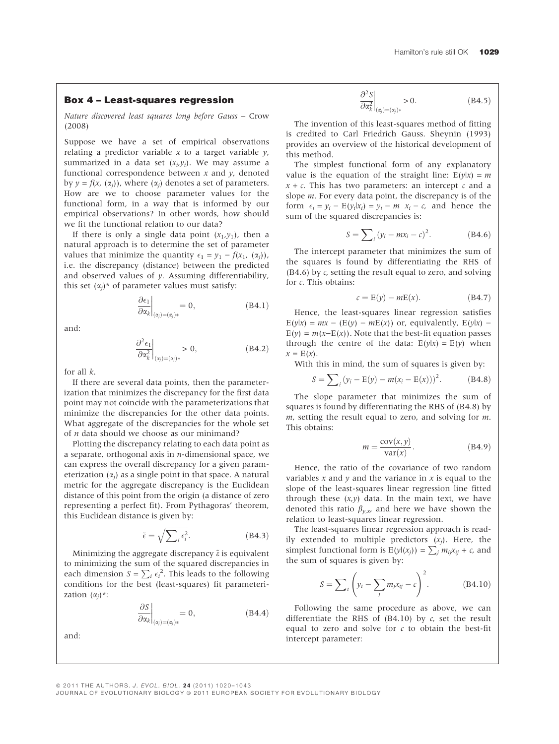#### Box 4 – Least-squares regression

Nature discovered least squares long before Gauss – Crow (2008)

Suppose we have a set of empirical observations relating a predictor variable  $x$  to a target variable  $y$ , summarized in a data set  $(x_i, y_i)$ . We may assume a functional correspondence between  $x$  and  $y$ , denoted by  $y = f(x, (\alpha_i))$ , where  $(\alpha_i)$  denotes a set of parameters. How are we to choose parameter values for the functional form, in a way that is informed by our empirical observations? In other words, how should we fit the functional relation to our data?

If there is only a single data point  $(x_1, y_1)$ , then a natural approach is to determine the set of parameter values that minimize the quantity  $\epsilon_1 = y_1 - f(x_1, (\alpha_j))$ , i.e. the discrepancy (distance) between the predicted and observed values of y. Assuming differentiability, this set  $(\alpha_j)^*$  of parameter values must satisfy:

$$
\left.\frac{\partial \epsilon_1}{\partial \alpha_k}\right|_{(\alpha_j)=(\alpha_j)^*}=0, \qquad \qquad \textbf{(B4.1)}
$$

and:

$$
\left. \frac{\partial^2 \epsilon_1}{\partial \alpha_k^2} \right|_{(\alpha_j) = (\alpha_j)^*} > 0, \tag{B4.2}
$$

for all  $k$ .

If there are several data points, then the parameterization that minimizes the discrepancy for the first data point may not coincide with the parameterizations that minimize the discrepancies for the other data points. What aggregate of the discrepancies for the whole set of  $n$  data should we choose as our minimand?

Plotting the discrepancy relating to each data point as a separate, orthogonal axis in  $n$ -dimensional space, we can express the overall discrepancy for a given parameterization  $(\alpha_i)$  as a single point in that space. A natural metric for the aggregate discrepancy is the Euclidean distance of this point from the origin (a distance of zero representing a perfect fit). From Pythagoras' theorem, this Euclidean distance is given by:

$$
\tilde{\epsilon} = \sqrt{\sum_{i} \epsilon_i^2}.
$$
 (B4.3)

Minimizing the aggregate discrepancy  $\tilde{\epsilon}$  is equivalent to minimizing the sum of the squared discrepancies in to minimizing the sum of the squared discrepances in<br>each dimension  $S = \sum_i \epsilon_i^2$ . This leads to the following conditions for the best (least-squares) fit parameterization  $(\alpha_i)^*$ :

$$
\left. \frac{\partial S}{\partial \alpha_k} \right|_{(\alpha_j) = (\alpha_j)^*} = 0, \tag{B4.4}
$$

and:

$$
\left. \frac{\partial^2 S}{\partial \alpha_k^2} \right|_{(\alpha_j) = (\alpha_j)^*} > 0.
$$
 (B4.5)

The invention of this least-squares method of fitting is credited to Carl Friedrich Gauss. Sheynin (1993) provides an overview of the historical development of this method.

The simplest functional form of any explanatory value is the equation of the straight line:  $E(y|x) = m$  $x + c$ . This has two parameters: an intercept c and a slope  $m$ . For every data point, the discrepancy is of the form  $\epsilon_i = y_i - E(y_i|x_i) = y_i - m x_i - c$ , and hence the sum of the squared discrepancies is:

$$
S = \sum_{i} (y_i - mx_i - c)^2.
$$
 (B4.6)

The intercept parameter that minimizes the sum of the squares is found by differentiating the RHS of  $(B4.6)$  by c, setting the result equal to zero, and solving for c. This obtains:

$$
c = E(y) - mE(x). \tag{B4.7}
$$

Hence, the least-squares linear regression satisfies  $E(y|x) = mx - (E(y) - mE(x))$  or, equivalently,  $E(y|x)$  –  $E(y) = m(x-E(x))$ . Note that the best-fit equation passes through the centre of the data:  $E(y|x) = E(y)$  when  $x = E(x)$ .

With this in mind, the sum of squares is given by:

$$
S = \sum_{i} (y_i - E(y) - m(x_i - E(x)))^{2}.
$$
 (B4.8)

The slope parameter that minimizes the sum of squares is found by differentiating the RHS of (B4.8) by  $m$ , setting the result equal to zero, and solving for  $m$ . This obtains:

$$
m = \frac{\text{cov}(x, y)}{\text{var}(x)}.
$$
 (B4.9)

Hence, the ratio of the covariance of two random variables  $x$  and  $y$  and the variance in  $x$  is equal to the slope of the least-squares linear regression line fitted through these  $(x,y)$  data. In the main text, we have denoted this ratio  $\beta_{v,x}$ , and here we have shown the relation to least-squares linear regression.

The least-squares linear regression approach is readily extended to multiple predictors  $(x_i)$ . Here, the simplest functional form is  $E(y|(x_i)) = \sum_i m_{ii}x_{ii} + c$ , and the sum of squares is given by:

$$
S = \sum_{i} \left( y_i - \sum_{j} m_j x_{ij} - c \right)^2.
$$
 (B4.10)

Following the same procedure as above, we can differentiate the RHS of  $(B4.10)$  by c, set the result equal to zero and solve for  $c$  to obtain the best-fit intercept parameter:

ª 2011 THE AUTHORS. J. EVOL. BIOL. 2 4 (2011) 1020–1043

JOURNAL OF EVOLUTIONARY BIOLOGY ª 2011 EUROPEAN SOCIETY FOR EVOLUTIONARY BIOLOGY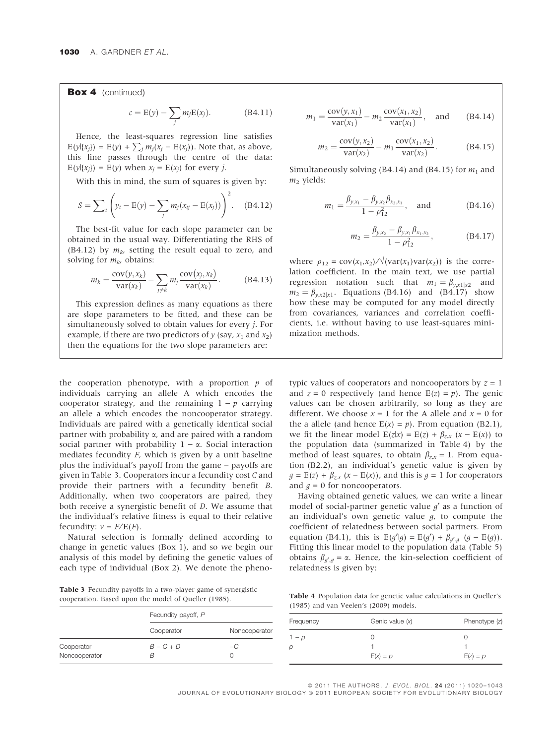Box 4 (continued)

$$
c = E(y) - \sum_{j} m_{j}E(x_{j}).
$$
 (B4.11)

Hence, the least-squares regression line satisfies  $E(y|\{x_i\}) = E(y) + \sum_i m_i(x_i - E(x_i))$ . Note that, as above, this line passes through the centre of the data:  $E(y|\{x_i\}) = E(y)$  when  $x_i = E(x_i)$  for every j.

With this in mind, the sum of squares is given by:

$$
S = \sum_{i} \left( y_i - E(y) - \sum_{j} m_j (x_{ij} - E(x_j)) \right)^2.
$$
 (B4.12)

The best-fit value for each slope parameter can be obtained in the usual way. Differentiating the RHS of (B4.12) by  $m_k$ , setting the result equal to zero, and solving for  $m_k$ , obtains:

$$
m_k = \frac{\text{cov}(y, x_k)}{\text{var}(x_k)} - \sum_{j \neq k} m_j \frac{\text{cov}(x_j, x_k)}{\text{var}(x_k)}.
$$
 (B4.13)

This expression defines as many equations as there are slope parameters to be fitted, and these can be simultaneously solved to obtain values for every j. For example, if there are two predictors of  $\gamma$  (say,  $x_1$  and  $x_2$ ) then the equations for the two slope parameters are:

the cooperation phenotype, with a proportion  $p$  of individuals carrying an allele A which encodes the cooperator strategy, and the remaining  $1 - p$  carrying an allele a which encodes the noncooperator strategy. Individuals are paired with a genetically identical social partner with probability  $\alpha$ , and are paired with a random social partner with probability  $1 - \alpha$ . Social interaction mediates fecundity  $F$ , which is given by a unit baseline plus the individual's payoff from the game – payoffs are given in Table 3. Cooperators incur a fecundity cost C and provide their partners with a fecundity benefit B. Additionally, when two cooperators are paired, they both receive a synergistic benefit of D. We assume that the individual's relative fitness is equal to their relative fecundity:  $v = F/E(F)$ .

Natural selection is formally defined according to change in genetic values (Box 1), and so we begin our analysis of this model by defining the genetic values of each type of individual (Box 2). We denote the pheno-

Table 3 Fecundity payoffs in a two-player game of synergistic cooperation. Based upon the model of Queller (1985).

Cooperator  $B - C + D$   $-C$ Noncooperator B 0

Fecundity payoff, P

Cooperator Noncooperator

$$
m_1 = \frac{\text{cov}(y, x_1)}{\text{var}(x_1)} - m_2 \frac{\text{cov}(x_1, x_2)}{\text{var}(x_1)}, \text{ and } (B4.14)
$$

$$
m_2 = \frac{\text{cov}(y, x_2)}{\text{var}(x_2)} - m_1 \frac{\text{cov}(x_1, x_2)}{\text{var}(x_2)}.
$$
 (B4.15)

Simultaneously solving (B4.14) and (B4.15) for  $m_1$  and  $m<sub>2</sub>$  yields:

$$
m_1 = \frac{\beta_{y,x_1} - \beta_{y,x_2}\beta_{x_2,x_1}}{1 - \rho_{12}^2}, \text{ and } (B4.16)
$$

$$
m_2 = \frac{\beta_{y,x_2} - \beta_{y,x_1}\beta_{x_1,x_2}}{1 - \rho_{12}^2},
$$
 (B4.17)

where  $\rho_{12} = \text{cov}(x_1, x_2) / \sqrt{\text{var}(x_1) \text{var}(x_2)}$  is the correlation coefficient. In the main text, we use partial regression notation such that  $m_1 = \beta_{v.x1|x2}$  and  $m_2 = \beta_{v,x2|x1}$ . Equations (B4.16) and (B4.17) show how these may be computed for any model directly from covariances, variances and correlation coefficients, i.e. without having to use least-squares minimization methods.

typic values of cooperators and noncooperators by  $z = 1$ and  $z = 0$  respectively (and hence  $E(z) = p$ ). The genic values can be chosen arbitrarily, so long as they are different. We choose  $x = 1$  for the A allele and  $x = 0$  for the a allele (and hence  $E(x) = p$ ). From equation (B2.1), we fit the linear model  $E(z|x) = E(z) + \beta_{z,x} (x - E(x))$  to the population data (summarized in Table 4) by the method of least squares, to obtain  $\beta_{zx} = 1$ . From equation (B2.2), an individual's genetic value is given by  $g = E(z) + \beta_{zx} (x - E(x))$ , and this is  $g = 1$  for cooperators and  $g = 0$  for noncooperators.

Having obtained genetic values, we can write a linear model of social-partner genetic value  $g'$  as a function of an individual's own genetic value  $g$ , to compute the coefficient of relatedness between social partners. From equation (B4.1), this is  $E(g'|g) = E(g') + \beta_{g',g} (g - E(g))$ . Fitting this linear model to the population data (Table 5) obtains  $\beta_{g',g} = \alpha$ . Hence, the kin-selection coefficient of relatedness is given by:

Table 4 Population data for genetic value calculations in Queller's (1985) and van Veelen's (2009) models.

| Frequency | Genic value $(x)$ | Phenotype (z) |
|-----------|-------------------|---------------|
| 1 – p     |                   |               |
|           | $E(x) = p$        | $E(z) = p$    |

© 2011 THE AUTHORS. J. EVOL. BIOL. 24 (2011) 1020-1043 JOURNAL OF EVOLUTIONARY BIOLOGY ª 2011 EUROPEAN SOCIETY FOR EVOLUTIONARY BIOLOGY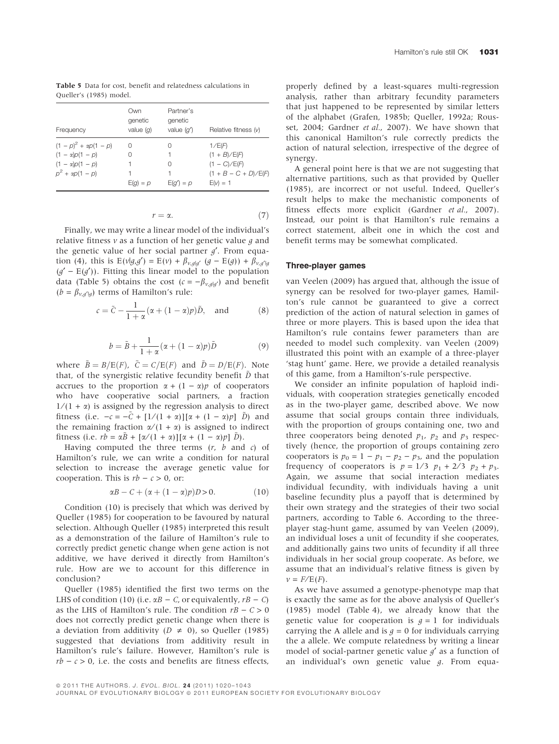Table 5 Data for cost, benefit and relatedness calculations in Queller's (1985) model.

| Frequency                                                                                                  | Own<br>genetic<br>value $(q)$                  | Partner's<br>genetic<br>value $(q')$      | Relative fitness (v)                                                               |
|------------------------------------------------------------------------------------------------------------|------------------------------------------------|-------------------------------------------|------------------------------------------------------------------------------------|
| $(1 - p)^2 + \alpha p(1 - p)$<br>$(1 - \alpha)p(1 - p)$<br>$(1 - \alpha)p(1 - p)$<br>$p^2 + \alpha p(1-p)$ | $\left( \right)$<br>Ω<br>1<br>1.<br>$E(q) = p$ | $\left( \right)$<br>Ω<br>$E(\alpha') = D$ | 1/E(F)<br>$(1 + B)/E(F)$<br>$(1 - C)/E(F)$<br>$(1 + B - C + D)/E(F)$<br>$E(v) = 1$ |

$$
r = \alpha. \tag{7}
$$

Finally, we may write a linear model of the individual's relative fitness  $v$  as a function of her genetic value  $q$  and the genetic value of her social partner  $g'$ . From equation (4), this is  $E(v|g,g') = E(v) + \beta_{v,g|g'}(g - E(g)) + \beta_{v,g'|g}$  $(g' - E(g'))$ . Fitting this linear model to the population data (Table 5) obtains the cost ( $c = -\beta_{\nu, g|g'}$ ) and benefit  $(b = \beta_{v,d'|d})$  terms of Hamilton's rule:

$$
c = \tilde{C} - \frac{1}{1+\alpha}(\alpha + (1-\alpha)p)\tilde{D}, \text{ and } (8)
$$

$$
b = \tilde{B} + \frac{1}{1+\alpha}(\alpha + (1-\alpha)p)\tilde{D}
$$
 (9)

where  $\tilde{B} = B/E(F)$ ,  $\tilde{C} = C/E(F)$  and  $\tilde{D} = D/E(F)$ . Note that, of the synergistic relative fecundity benefit  $\tilde{D}$  that accrues to the proportion  $\alpha + (1 - \alpha)p$  of cooperators who have cooperative social partners, a fraction  $1/(1 + \alpha)$  is assigned by the regression analysis to direct fitness (i.e.  $-c = -\tilde{C} + [1/(1 + \alpha)][\alpha + (1 - \alpha)p]$  *D*) and the remaining fraction  $\alpha/(1 + \alpha)$  is assigned to indirect fitness (i.e.  $rb = \alpha \tilde{B} + [\alpha/(1 + \alpha)][\alpha + (1 - \alpha)p]\tilde{D}$ ).

Having computed the three terms  $(r, b \text{ and } c)$  of Hamilton's rule, we can write a condition for natural selection to increase the average genetic value for cooperation. This is  $rb - c > 0$ , or:

$$
\alpha B - C + (\alpha + (1 - \alpha)p)D > 0. \tag{10}
$$

Condition (10) is precisely that which was derived by Queller (1985) for cooperation to be favoured by natural selection. Although Queller (1985) interpreted this result as a demonstration of the failure of Hamilton's rule to correctly predict genetic change when gene action is not additive, we have derived it directly from Hamilton's rule. How are we to account for this difference in conclusion?

Queller (1985) identified the first two terms on the LHS of condition (10) (i.e.  $\alpha B - C$ , or equivalently,  $rB - C$ ) as the LHS of Hamilton's rule. The condition  $r = C > 0$ does not correctly predict genetic change when there is a deviation from additivity ( $D \neq 0$ ), so Queller (1985) suggested that deviations from additivity result in Hamilton's rule's failure. However, Hamilton's rule is  $rb - c > 0$ , i.e. the costs and benefits are fitness effects,

properly defined by a least-squares multi-regression analysis, rather than arbitrary fecundity parameters that just happened to be represented by similar letters of the alphabet (Grafen, 1985b; Queller, 1992a; Rousset, 2004; Gardner et al., 2007). We have shown that this canonical Hamilton's rule correctly predicts the action of natural selection, irrespective of the degree of synergy.

A general point here is that we are not suggesting that alternative partitions, such as that provided by Queller (1985), are incorrect or not useful. Indeed, Queller's result helps to make the mechanistic components of fitness effects more explicit (Gardner et al., 2007). Instead, our point is that Hamilton's rule remains a correct statement, albeit one in which the cost and benefit terms may be somewhat complicated.

#### Three-player games

van Veelen (2009) has argued that, although the issue of synergy can be resolved for two-player games, Hamilton's rule cannot be guaranteed to give a correct prediction of the action of natural selection in games of three or more players. This is based upon the idea that Hamilton's rule contains fewer parameters than are needed to model such complexity. van Veelen (2009) illustrated this point with an example of a three-player 'stag hunt' game. Here, we provide a detailed reanalysis of this game, from a Hamilton's-rule perspective.

We consider an infinite population of haploid individuals, with cooperation strategies genetically encoded as in the two-player game, described above. We now assume that social groups contain three individuals, with the proportion of groups containing one, two and three cooperators being denoted  $p_1$ ,  $p_2$  and  $p_3$  respectively (hence, the proportion of groups containing zero cooperators is  $p_0 = 1 - p_1 - p_2 - p_3$ , and the population frequency of cooperators is  $p = 1/3$   $p_1 + 2/3$   $p_2 + p_3$ . Again, we assume that social interaction mediates individual fecundity, with individuals having a unit baseline fecundity plus a payoff that is determined by their own strategy and the strategies of their two social partners, according to Table 6. According to the threeplayer stag-hunt game, assumed by van Veelen (2009), an individual loses a unit of fecundity if she cooperates, and additionally gains two units of fecundity if all three individuals in her social group cooperate. As before, we assume that an individual's relative fitness is given by  $v = F/E(F)$ .

As we have assumed a genotype-phenotype map that is exactly the same as for the above analysis of Queller's (1985) model (Table 4), we already know that the genetic value for cooperation is  $g = 1$  for individuals carrying the A allele and is  $g = 0$  for individuals carrying the a allele. We compute relatedness by writing a linear model of social-partner genetic value  $g'$  as a function of an individual's own genetic value g. From equa-

ª 2011 THE AUTHORS. J. EVOL. BIOL. 2 4 (2011) 1020–1043

JOURNAL OF EVOLUTIONARY BIOLOGY ª 2011 EUROPEAN SOCIETY FOR EVOLUTIONARY BIOLOGY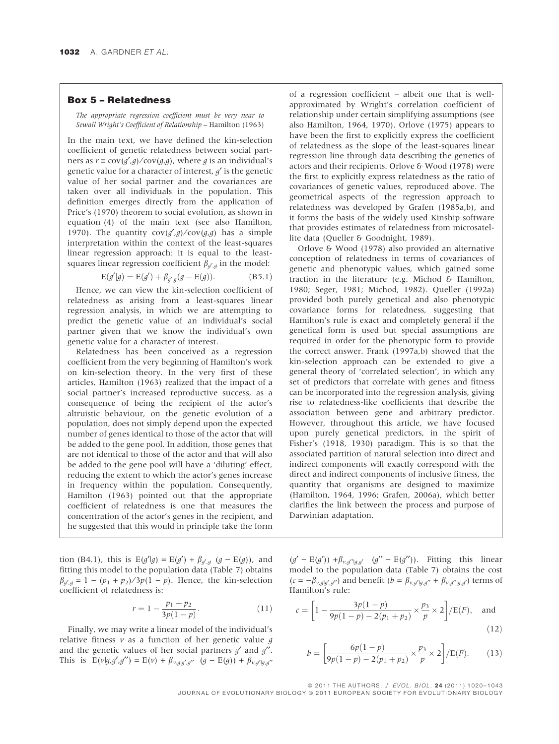#### Box 5 – Relatedness

#### The appropriate regression coefficient must be very near to Sewall Wright's Coefficient of Relationship – Hamilton (1963)

In the main text, we have defined the kin-selection coefficient of genetic relatedness between social partners as  $r \equiv \text{cov}(q',q)/\text{cov}(q,q)$ , where g is an individual's genetic value for a character of interest,  $q'$  is the genetic value of her social partner and the covariances are taken over all individuals in the population. This definition emerges directly from the application of Price's (1970) theorem to social evolution, as shown in equation (4) of the main text (see also Hamilton, 1970). The quantity  $cov(g',g)/cov(g,g)$  has a simple interpretation within the context of the least-squares linear regression approach: it is equal to the leastsquares linear regression coefficient  $\beta_{g',g}$  in the model:

$$
E(g'|g) = E(g') + \beta_{g',g}(g - E(g)).
$$
 (B5.1)

Hence, we can view the kin-selection coefficient of relatedness as arising from a least-squares linear regression analysis, in which we are attempting to predict the genetic value of an individual's social partner given that we know the individual's own genetic value for a character of interest.

Relatedness has been conceived as a regression coefficient from the very beginning of Hamilton's work on kin-selection theory. In the very first of these articles, Hamilton (1963) realized that the impact of a social partner's increased reproductive success, as a consequence of being the recipient of the actor's altruistic behaviour, on the genetic evolution of a population, does not simply depend upon the expected number of genes identical to those of the actor that will be added to the gene pool. In addition, those genes that are not identical to those of the actor and that will also be added to the gene pool will have a 'diluting' effect, reducing the extent to which the actor's genes increase in frequency within the population. Consequently, Hamilton (1963) pointed out that the appropriate coefficient of relatedness is one that measures the concentration of the actor's genes in the recipient, and he suggested that this would in principle take the form

tion (B4.1), this is  $E(g'|g) = E(g') + \beta_{g',g} (g - E(g))$ , and fitting this model to the population data (Table 7) obtains  $\beta_{g',g} = 1 - (p_1 + p_2)/3p(1 - p)$ . Hence, the kin-selection coefficient of relatedness is:

$$
r = 1 - \frac{p_1 + p_2}{3p(1 - p)}.
$$
 (11)

Finally, we may write a linear model of the individual's relative fitness  $v$  as a function of her genetic value g and the genetic values of her social partners  $g'$  and  $g''$ . This is  $E(v|g,g',g'') = E(v) + \beta_{v,g|g',g''}(g - E(g)) + \beta_{v,g'|g,g''}$ 

of a regression coefficient – albeit one that is wellapproximated by Wright's correlation coefficient of relationship under certain simplifying assumptions (see also Hamilton, 1964, 1970). Orlove (1975) appears to have been the first to explicitly express the coefficient of relatedness as the slope of the least-squares linear regression line through data describing the genetics of actors and their recipients. Orlove & Wood (1978) were the first to explicitly express relatedness as the ratio of covariances of genetic values, reproduced above. The geometrical aspects of the regression approach to relatedness was developed by Grafen (1985a,b), and it forms the basis of the widely used Kinship software that provides estimates of relatedness from microsatellite data (Queller & Goodnight, 1989).

Orlove & Wood (1978) also provided an alternative conception of relatedness in terms of covariances of genetic and phenotypic values, which gained some traction in the literature (e.g. Michod & Hamilton, 1980; Seger, 1981; Michod, 1982). Queller (1992a) provided both purely genetical and also phenotypic covariance forms for relatedness, suggesting that Hamilton's rule is exact and completely general if the genetical form is used but special assumptions are required in order for the phenotypic form to provide the correct answer. Frank (1997a,b) showed that the kin-selection approach can be extended to give a general theory of 'correlated selection', in which any set of predictors that correlate with genes and fitness can be incorporated into the regression analysis, giving rise to relatedness-like coefficients that describe the association between gene and arbitrary predictor. However, throughout this article, we have focused upon purely genetical predictors, in the spirit of Fisher's (1918, 1930) paradigm. This is so that the associated partition of natural selection into direct and indirect components will exactly correspond with the direct and indirect components of inclusive fitness, the quantity that organisms are designed to maximize (Hamilton, 1964, 1996; Grafen, 2006a), which better clarifies the link between the process and purpose of Darwinian adaptation.

 $(g'-\operatorname{E}(g'))+\beta_{v,g''|g,g'}\quad (g''-\operatorname{E}(g'')).\quad \text{Fitting this linear}$ model to the population data (Table 7) obtains the cost  $(c = -\beta_{v,g|g',g''})$  and benefit  $(b = \beta_{v,g'|g,g''} + \beta_{v,g''|g,g'})$  terms of Hamilton's rule:

$$
c = \left[1 - \frac{3p(1-p)}{9p(1-p) - 2(p_1 + p_2)} \times \frac{p_3}{p} \times 2\right] / E(F), \text{ and}
$$
\n(12)

$$
b = \left[\frac{6p(1-p)}{9p(1-p) - 2(p_1 + p_2)} \times \frac{p_3}{p} \times 2\right] / E(F).
$$
 (13)

© 2011 THE AUTHORS. J. EVOL. BIOL. 24 (2011) 1020-1043 JOURNAL OF EVOLUTIONARY BIOLOGY © 2011 EUROPEAN SOCIETY FOR EVOLUTIONARY BIOLOGY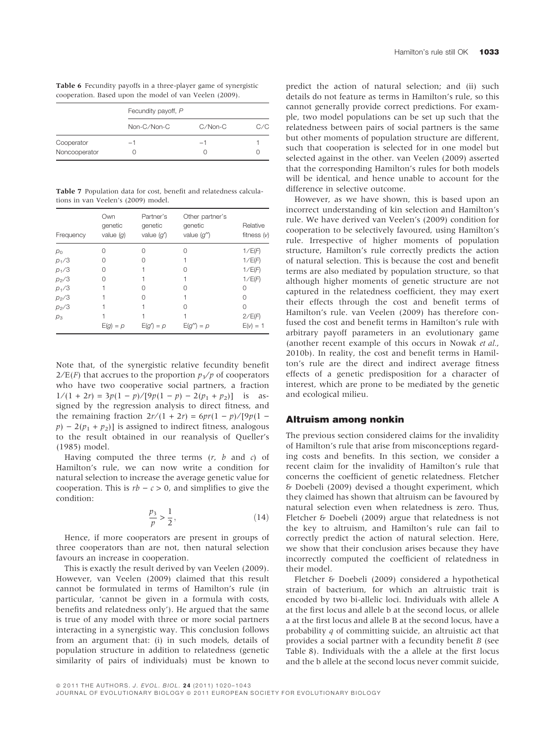Table 6 Fecundity payoffs in a three-player game of synergistic cooperation. Based upon the model of van Veelen (2009).

|               | Fecundity payoff, P |         |     |  |
|---------------|---------------------|---------|-----|--|
|               | Non-C/Non-C         | C/Non-C | C/C |  |
| Cooperator    | -1                  | $-1$    |     |  |
| Noncooperator |                     | 0       |     |  |

Table 7 Population data for cost, benefit and relatedness calculations in van Veelen's (2009) model.

| Frequency | Own<br>genetic<br>value $(q)$ | Partner's<br>genetic<br>value $(q')$ | Other partner's<br>genetic<br>value $(g'')$ | Relative<br>fitness $(v)$ |
|-----------|-------------------------------|--------------------------------------|---------------------------------------------|---------------------------|
| $\rho_0$  |                               | ∩                                    | ∩                                           | 1/E(F)                    |
| $p_1/3$   |                               | ∩                                    |                                             | 1/E(F)                    |
| $p_1/3$   |                               |                                      | ∩                                           | 1/E(F)                    |
| $p_2/3$   |                               |                                      |                                             | 1/E(F)                    |
| $p_1/3$   |                               | ∩                                    |                                             | Ω                         |
| $p_2/3$   |                               | ∩                                    |                                             | Ω                         |
| $p_2/3$   |                               |                                      | Ω                                           | O                         |
| $p_3$     |                               |                                      |                                             | 2/ E(F)                   |
|           | $E(q) = p$                    | $E(q') = p$                          | $E(q'') = p$                                | $E(v) = 1$                |

Note that, of the synergistic relative fecundity benefit  $2/E(F)$  that accrues to the proportion  $p_3/p$  of cooperators who have two cooperative social partners, a fraction  $1/(1 + 2r) = 3p(1 - p)/[9p(1 - p) - 2(p_1 + p_2)]$  is assigned by the regression analysis to direct fitness, and the remaining fraction  $2r/(1 + 2r) = 6pr(1 - p)/[9p(1$  $p$ ) – 2( $p_1 + p_2$ )] is assigned to indirect fitness, analogous to the result obtained in our reanalysis of Queller's (1985) model.

Having computed the three terms  $(r, b \text{ and } c)$  of Hamilton's rule, we can now write a condition for natural selection to increase the average genetic value for cooperation. This is  $rb - c > 0$ , and simplifies to give the condition:

$$
\frac{p_3}{p} > \frac{1}{2},\tag{14}
$$

Hence, if more cooperators are present in groups of three cooperators than are not, then natural selection favours an increase in cooperation.

This is exactly the result derived by van Veelen (2009). However, van Veelen (2009) claimed that this result cannot be formulated in terms of Hamilton's rule (in particular, 'cannot be given in a formula with costs, benefits and relatedness only'). He argued that the same is true of any model with three or more social partners interacting in a synergistic way. This conclusion follows from an argument that: (i) in such models, details of population structure in addition to relatedness (genetic similarity of pairs of individuals) must be known to

predict the action of natural selection; and (ii) such details do not feature as terms in Hamilton's rule, so this cannot generally provide correct predictions. For example, two model populations can be set up such that the relatedness between pairs of social partners is the same but other moments of population structure are different, such that cooperation is selected for in one model but selected against in the other. van Veelen (2009) asserted that the corresponding Hamilton's rules for both models will be identical, and hence unable to account for the difference in selective outcome.

However, as we have shown, this is based upon an incorrect understanding of kin selection and Hamilton's rule. We have derived van Veelen's (2009) condition for cooperation to be selectively favoured, using Hamilton's rule. Irrespective of higher moments of population structure, Hamilton's rule correctly predicts the action of natural selection. This is because the cost and benefit terms are also mediated by population structure, so that although higher moments of genetic structure are not captured in the relatedness coefficient, they may exert their effects through the cost and benefit terms of Hamilton's rule. van Veelen (2009) has therefore confused the cost and benefit terms in Hamilton's rule with arbitrary payoff parameters in an evolutionary game (another recent example of this occurs in Nowak et al., 2010b). In reality, the cost and benefit terms in Hamilton's rule are the direct and indirect average fitness effects of a genetic predisposition for a character of interest, which are prone to be mediated by the genetic and ecological milieu.

#### Altruism among nonkin

The previous section considered claims for the invalidity of Hamilton's rule that arise from misconceptions regarding costs and benefits. In this section, we consider a recent claim for the invalidity of Hamilton's rule that concerns the coefficient of genetic relatedness. Fletcher & Doebeli (2009) devised a thought experiment, which they claimed has shown that altruism can be favoured by natural selection even when relatedness is zero. Thus, Fletcher & Doebeli (2009) argue that relatedness is not the key to altruism, and Hamilton's rule can fail to correctly predict the action of natural selection. Here, we show that their conclusion arises because they have incorrectly computed the coefficient of relatedness in their model.

Fletcher & Doebeli (2009) considered a hypothetical strain of bacterium, for which an altruistic trait is encoded by two bi-allelic loci. Individuals with allele A at the first locus and allele b at the second locus, or allele a at the first locus and allele B at the second locus, have a probability  $q$  of committing suicide, an altruistic act that provides a social partner with a fecundity benefit  $B$  (see Table 8). Individuals with the a allele at the first locus and the b allele at the second locus never commit suicide,

ª 2011 THE AUTHORS. J. EVOL. BIOL. 2 4 (2011) 1020–1043

JOURNAL OF EVOLUTIONARY BIOLOGY ª 2011 EUROPEAN SOCIETY FOR EVOLUTIONARY BIOLOGY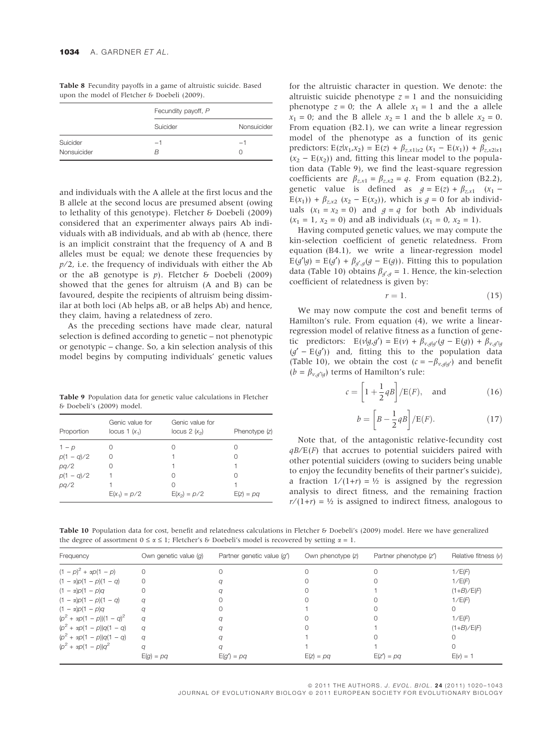Table 8 Fecundity payoffs in a game of altruistic suicide. Based upon the model of Fletcher & Doebeli (2009).

|             |          | Fecundity payoff, P |  |  |
|-------------|----------|---------------------|--|--|
|             | Suicider | Nonsuicider         |  |  |
| Suicider    | $-1$     | $-1$                |  |  |
| Nonsuicider | R        | $\left( \right)$    |  |  |

and individuals with the A allele at the first locus and the B allele at the second locus are presumed absent (owing to lethality of this genotype). Fletcher & Doebeli (2009) considered that an experimenter always pairs Ab individuals with aB individuals, and ab with ab (hence, there is an implicit constraint that the frequency of A and B alleles must be equal; we denote these frequencies by  $p/2$ , i.e. the frequency of individuals with either the Ab or the aB genotype is  $p$ ). Fletcher & Doebeli (2009) showed that the genes for altruism (A and B) can be favoured, despite the recipients of altruism being dissimilar at both loci (Ab helps aB, or aB helps Ab) and hence, they claim, having a relatedness of zero.

As the preceding sections have made clear, natural selection is defined according to genetic – not phenotypic or genotypic – change. So, a kin selection analysis of this model begins by computing individuals' genetic values

Table 9 Population data for genetic value calculations in Fletcher & Doebeli's (2009) model.

| Proportion   | Genic value for<br>locus 1 $(x_1)$ | Genic value for<br>locus $2(x_2)$ | Phenotype (z)    |
|--------------|------------------------------------|-----------------------------------|------------------|
| $1-p$        | $\left( \right)$                   | $\left( \right)$                  | $\left( \right)$ |
| $p(1 - q)/2$ | $\Omega$                           |                                   | 0                |
| pq/2         | 0                                  | 1                                 |                  |
| $p(1 - q)/2$ |                                    | 0                                 | 0                |
| pq/2         |                                    | $\cap$                            |                  |
|              | $E(x_1) = p/2$                     | $E(x_2) = p/2$                    | $E(z) = pq$      |

for the altruistic character in question. We denote: the altruistic suicide phenotype  $z = 1$  and the nonsuiciding phenotype  $z = 0$ ; the A allele  $x_1 = 1$  and the a allele  $x_1 = 0$ ; and the B allele  $x_2 = 1$  and the b allele  $x_2 = 0$ . From equation (B2.1), we can write a linear regression model of the phenotype as a function of its genic predictors:  $E(z|x_1,x_2) = E(z) + \beta_{z,x1|x_2}(x_1 - E(x_1)) + \beta_{z,x2|x_1}$  $(x_2 - E(x_2))$  and, fitting this linear model to the population data (Table 9), we find the least-square regression coefficients are  $\beta_{z,x1} = \beta_{z,x2} = q$ . From equation (B2.2), genetic value is defined as  $g = E(z) + \beta_{z}$ ,  $(x_1 E(x_1)$ ) +  $\beta_{z,x2}$  (x<sub>2</sub> –  $E(x_2)$ ), which is  $g = 0$  for ab individuals  $(x_1 = x_2 = 0)$  and  $g = q$  for both Ab individuals  $(x_1 = 1, x_2 = 0)$  and aB individuals  $(x_1 = 0, x_2 = 1)$ .

Having computed genetic values, we may compute the kin-selection coefficient of genetic relatedness. From equation (B4.1), we write a linear-regression model  $E(g'|g) = E(g') + \beta_{g',g}(g - E(g))$ . Fitting this to population data (Table 10) obtains  $\beta_{g',g} = 1$ . Hence, the kin-selection coefficient of relatedness is given by:

$$
r = 1.\t\t(15)
$$

We may now compute the cost and benefit terms of Hamilton's rule. From equation (4), we write a linearregression model of relative fitness as a function of genetic predictors:  $E(v|g,g') = E(v) + \beta_{v,g|g'}(g - E(g)) + \beta_{v,g'|g}$  $(g' - E(g'))$  and, fitting this to the population data (Table 10), we obtain the cost ( $c = -\beta_{\nu, g|g'}$ ) and benefit  $(b = \beta_{\nu,q'|q})$  terms of Hamilton's rule:

$$
c = \left[1 + \frac{1}{2}qB\right] / E(F), \text{ and } (16)
$$

$$
b = \left[ B - \frac{1}{2} q B \right] / \mathcal{E}(F). \tag{17}
$$

Note that, of the antagonistic relative-fecundity cost  $qB/E(F)$  that accrues to potential suiciders paired with other potential suiciders (owing to suciders being unable to enjoy the fecundity benefits of their partner's suicide), a fraction  $1/(1+r) = \frac{1}{2}$  is assigned by the regression analysis to direct fitness, and the remaining fraction  $r/(1+r) = \frac{1}{2}$  is assigned to indirect fitness, analogous to

Table 10 Population data for cost, benefit and relatedness calculations in Fletcher & Doebeli's (2009) model. Here we have generalized the degree of assortment  $0 \le \alpha \le 1$ ; Fletcher's & Doebeli's model is recovered by setting  $\alpha = 1$ .

| Frequency                      | Own genetic value $(q)$ | Partner genetic value $(q')$ | Own phenotype (z) | Partner phenotype (z') | Relative fitness (v) |
|--------------------------------|-------------------------|------------------------------|-------------------|------------------------|----------------------|
| $(1-p)^2 + \alpha p(1-p)$      |                         |                              |                   |                        | 1/E(F)               |
| $(1 - \alpha)p(1 - p)(1 - q)$  |                         |                              |                   |                        | 1/E(F)               |
| $(1 - \alpha)p(1 - p)q$        |                         |                              |                   |                        | $(1+B)/E(F)$         |
| $(1 - \alpha)p(1 - p)(1 - q)$  |                         |                              |                   |                        | 1/E(F)               |
| $(1 - \alpha)p(1 - p)q$        |                         |                              |                   |                        |                      |
| $(p^2 + \alpha p(1-p))(1-q)^2$ | a                       |                              |                   |                        | 1/E(F)               |
| $(p^2 + \alpha p(1-p))q(1-q)$  | q                       |                              |                   |                        | $(1+B)/E(F)$         |
| $(p^2 + \alpha p(1-p))q(1-q)$  | q                       |                              |                   |                        |                      |
| $(p^2 + \alpha p(1-p))q^2$     |                         |                              |                   |                        |                      |
|                                | $E(g) = pq$             | $E(g') = pq$                 | $E(z) = pq$       | $E(z') = pq$           | $E(v) = 1$           |

© 2011 THE AUTHORS. J. EVOL. BIOL. 24 (2011) 1020-1043

JOURNAL OF EVOLUTIONARY BIOLOGY ª 2011 EUROPEAN SOCIETY FOR EVOLUTIONARY BIOLOGY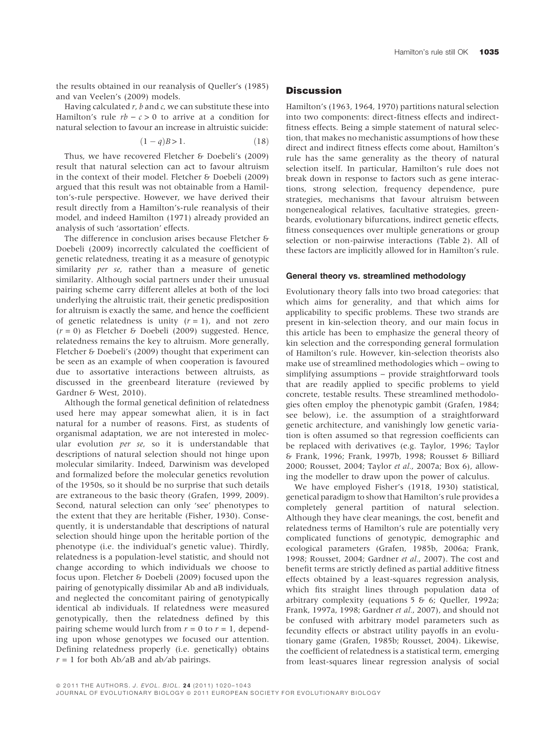the results obtained in our reanalysis of Queller's (1985) and van Veelen's (2009) models.

Having calculated  $r$ ,  $b$  and  $c$ , we can substitute these into Hamilton's rule  $rb - c > 0$  to arrive at a condition for natural selection to favour an increase in altruistic suicide:

$$
(1-q)B>1.
$$
 (18)

Thus, we have recovered Fletcher & Doebeli's (2009) result that natural selection can act to favour altruism in the context of their model. Fletcher & Doebeli (2009) argued that this result was not obtainable from a Hamilton's-rule perspective. However, we have derived their result directly from a Hamilton's-rule reanalysis of their model, and indeed Hamilton (1971) already provided an analysis of such 'assortation' effects.

The difference in conclusion arises because Fletcher & Doebeli (2009) incorrectly calculated the coefficient of genetic relatedness, treating it as a measure of genotypic similarity per se, rather than a measure of genetic similarity. Although social partners under their unusual pairing scheme carry different alleles at both of the loci underlying the altruistic trait, their genetic predisposition for altruism is exactly the same, and hence the coefficient of genetic relatedness is unity  $(r = 1)$ , and not zero  $(r = 0)$  as Fletcher & Doebeli (2009) suggested. Hence, relatedness remains the key to altruism. More generally, Fletcher & Doebeli's (2009) thought that experiment can be seen as an example of when cooperation is favoured due to assortative interactions between altruists, as discussed in the greenbeard literature (reviewed by Gardner & West, 2010).

Although the formal genetical definition of relatedness used here may appear somewhat alien, it is in fact natural for a number of reasons. First, as students of organismal adaptation, we are not interested in molecular evolution per se, so it is understandable that descriptions of natural selection should not hinge upon molecular similarity. Indeed, Darwinism was developed and formalized before the molecular genetics revolution of the 1950s, so it should be no surprise that such details are extraneous to the basic theory (Grafen, 1999, 2009). Second, natural selection can only 'see' phenotypes to the extent that they are heritable (Fisher, 1930). Consequently, it is understandable that descriptions of natural selection should hinge upon the heritable portion of the phenotype (i.e. the individual's genetic value). Thirdly, relatedness is a population-level statistic, and should not change according to which individuals we choose to focus upon. Fletcher & Doebeli (2009) focused upon the pairing of genotypically dissimilar Ab and aB individuals, and neglected the concomitant pairing of genotypically identical ab individuals. If relatedness were measured genotypically, then the relatedness defined by this pairing scheme would lurch from  $r = 0$  to  $r = 1$ , depending upon whose genotypes we focused our attention. Defining relatedness properly (i.e. genetically) obtains  $r = 1$  for both Ab/aB and ab/ab pairings.

# **Discussion**

Hamilton's (1963, 1964, 1970) partitions natural selection into two components: direct-fitness effects and indirectfitness effects. Being a simple statement of natural selection, that makes no mechanistic assumptions of how these direct and indirect fitness effects come about, Hamilton's rule has the same generality as the theory of natural selection itself. In particular, Hamilton's rule does not break down in response to factors such as gene interactions, strong selection, frequency dependence, pure strategies, mechanisms that favour altruism between nongenealogical relatives, facultative strategies, greenbeards, evolutionary bifurcations, indirect genetic effects, fitness consequences over multiple generations or group selection or non-pairwise interactions (Table 2). All of these factors are implicitly allowed for in Hamilton's rule.

#### General theory vs. streamlined methodology

Evolutionary theory falls into two broad categories: that which aims for generality, and that which aims for applicability to specific problems. These two strands are present in kin-selection theory, and our main focus in this article has been to emphasize the general theory of kin selection and the corresponding general formulation of Hamilton's rule. However, kin-selection theorists also make use of streamlined methodologies which – owing to simplifying assumptions – provide straightforward tools that are readily applied to specific problems to yield concrete, testable results. These streamlined methodologies often employ the phenotypic gambit (Grafen, 1984; see below), i.e. the assumption of a straightforward genetic architecture, and vanishingly low genetic variation is often assumed so that regression coefficients can be replaced with derivatives (e.g. Taylor, 1996; Taylor & Frank, 1996; Frank, 1997b, 1998; Rousset & Billiard 2000; Rousset, 2004; Taylor et al., 2007a; Box 6), allowing the modeller to draw upon the power of calculus.

We have employed Fisher's (1918, 1930) statistical, genetical paradigm to show that Hamilton's rule provides a completely general partition of natural selection. Although they have clear meanings, the cost, benefit and relatedness terms of Hamilton's rule are potentially very complicated functions of genotypic, demographic and ecological parameters (Grafen, 1985b, 2006a; Frank, 1998; Rousset, 2004; Gardner et al., 2007). The cost and benefit terms are strictly defined as partial additive fitness effects obtained by a least-squares regression analysis, which fits straight lines through population data of arbitrary complexity (equations 5 & 6; Queller, 1992a; Frank, 1997a, 1998; Gardner et al., 2007), and should not be confused with arbitrary model parameters such as fecundity effects or abstract utility payoffs in an evolutionary game (Grafen, 1985b; Rousset, 2004). Likewise, the coefficient of relatedness is a statistical term, emerging from least-squares linear regression analysis of social

ª 2011 THE AUTHORS. J. EVOL. BIOL. 2 4 (2011) 1020–1043

JOURNAL OF EVOLUTIONARY BIOLOGY ª 2011 EUROPEAN SOCIETY FOR EVOLUTIONARY BIOLOGY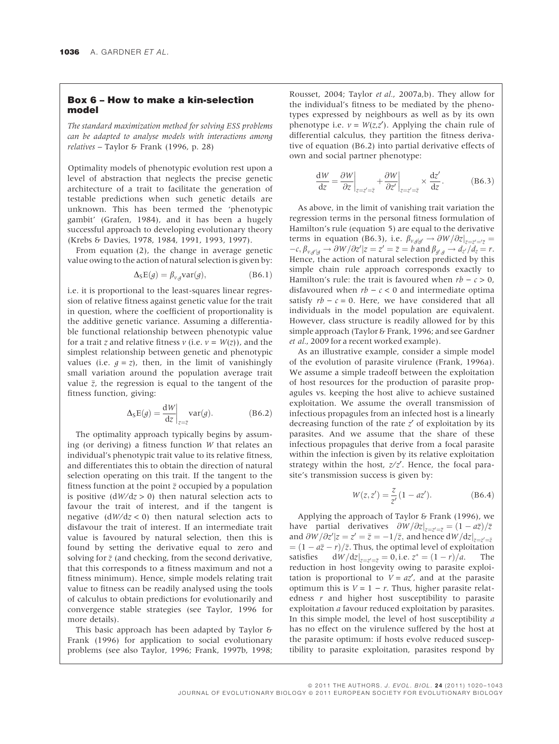## Box 6 – How to make a kin-selection model

The standard maximization method for solving ESS problems can be adapted to analyse models with interactions among relatives – Taylor & Frank (1996, p. 28)

Optimality models of phenotypic evolution rest upon a level of abstraction that neglects the precise genetic architecture of a trait to facilitate the generation of testable predictions when such genetic details are unknown. This has been termed the 'phenotypic gambit' (Grafen, 1984), and it has been a hugely successful approach to developing evolutionary theory (Krebs & Davies, 1978, 1984, 1991, 1993, 1997).

From equation (2), the change in average genetic value owing to the action of natural selection is given by:

$$
\Delta_{\mathcal{S}}E(g) = \beta_{\nu,g} \text{var}(g),\tag{B6.1}
$$

i.e. it is proportional to the least-squares linear regression of relative fitness against genetic value for the trait in question, where the coefficient of proportionality is the additive genetic variance. Assuming a differentiable functional relationship between phenotypic value for a trait *z* and relative fitness  $v$  (i.e.  $v = W(z)$ ), and the simplest relationship between genetic and phenotypic values (i.e.  $g = z$ ), then, in the limit of vanishingly small variation around the population average trait value  $\bar{z}$ , the regression is equal to the tangent of the fitness function, giving:

$$
\Delta_{\mathcal{S}}E(g) = \frac{\mathrm{d}W}{\mathrm{d}z}\bigg|_{z=\bar{z}} \text{var}(g). \tag{B6.2}
$$

The optimality approach typically begins by assuming (or deriving) a fitness function W that relates an individual's phenotypic trait value to its relative fitness, and differentiates this to obtain the direction of natural selection operating on this trait. If the tangent to the fitness function at the point  $\bar{z}$  occupied by a population is positive  $(dW/dz > 0)$  then natural selection acts to favour the trait of interest, and if the tangent is negative  $(dW/dz < 0)$  then natural selection acts to disfavour the trait of interest. If an intermediate trait value is favoured by natural selection, then this is found by setting the derivative equal to zero and solving for  $\bar{z}$  (and checking, from the second derivative, that this corresponds to a fitness maximum and not a fitness minimum). Hence, simple models relating trait value to fitness can be readily analysed using the tools of calculus to obtain predictions for evolutionarily and convergence stable strategies (see Taylor, 1996 for more details).

This basic approach has been adapted by Taylor & Frank (1996) for application to social evolutionary problems (see also Taylor, 1996; Frank, 1997b, 1998; Rousset, 2004; Taylor et al., 2007a,b). They allow for the individual's fitness to be mediated by the phenotypes expressed by neighbours as well as by its own phenotype i.e.  $v = W(z, z')$ . Applying the chain rule of differential calculus, they partition the fitness derivative of equation (B6.2) into partial derivative effects of own and social partner phenotype:

$$
\frac{\mathrm{d}W}{\mathrm{d}z} = \frac{\partial W}{\partial z}\bigg|_{z=z'=\bar{z}} + \frac{\partial W}{\partial z'}\bigg|_{z=z'=\bar{z}} \times \frac{\mathrm{d}z'}{\mathrm{d}z}. \tag{B6.3}
$$

As above, in the limit of vanishing trait variation the regression terms in the personal fitness formulation of Hamilton's rule (equation 5) are equal to the derivative terms in equation (B6.3), i.e.  $\beta_{\nu, g|g'} \to \partial W/\partial z|_{z=z'=z'} =$  $-c, \beta_{v,g'|g} \to \partial W/\partial z'|z=z'=\bar{z}=b$  and  $\beta_{g',g} \to d_{z'}/d_z=r$ . Hence, the action of natural selection predicted by this simple chain rule approach corresponds exactly to Hamilton's rule: the trait is favoured when  $rb - c > 0$ , disfavoured when  $rb - c < 0$  and intermediate optima satisfy  $rb - c = 0$ . Here, we have considered that all individuals in the model population are equivalent. However, class structure is readily allowed for by this simple approach (Taylor & Frank, 1996; and see Gardner et al., 2009 for a recent worked example).

As an illustrative example, consider a simple model of the evolution of parasite virulence (Frank, 1996a). We assume a simple tradeoff between the exploitation of host resources for the production of parasite propagules vs. keeping the host alive to achieve sustained exploitation. We assume the overall transmission of infectious propagules from an infected host is a linearly decreasing function of the rate  $z'$  of exploitation by its parasites. And we assume that the share of these infectious propagules that derive from a focal parasite within the infection is given by its relative exploitation strategy within the host,  $z/z'$ . Hence, the focal parasite's transmission success is given by:

$$
W(z, z') = \frac{z}{z'} (1 - az').
$$
 (B6.4)

Applying the approach of Taylor & Frank (1996), we have partial derivatives  $\partial W/\partial z|_{z=z'=\bar{z}} = (1 - a\bar{z})/\bar{z}$ and  $\partial W/\partial z'|z=z'=\bar{z}=-1/\bar{z}$ , and hence  $\frac{dW}{dz}\Big|_{z=z'=\bar{z}}$  $= (1 - a\overline{z} - r)/\overline{z}$ . Thus, the optimal level of exploitation satisfies  $dW/dz|_{z=z'=\bar{z}} = 0$ , i.e.  $z^* = (1 - r)/a$ . The reduction in host longevity owing to parasite exploitation is proportional to  $V = az'$ , and at the parasite optimum this is  $V = 1 - r$ . Thus, higher parasite relatedness  $r$  and higher host susceptibility to parasite exploitation a favour reduced exploitation by parasites. In this simple model, the level of host susceptibility a has no effect on the virulence suffered by the host at the parasite optimum: if hosts evolve reduced susceptibility to parasite exploitation, parasites respond by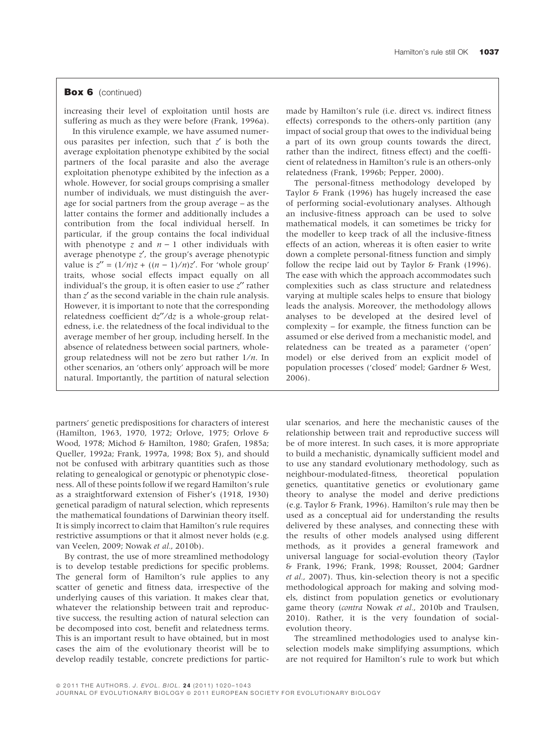#### Box 6 (continued)

increasing their level of exploitation until hosts are suffering as much as they were before (Frank, 1996a).

In this virulence example, we have assumed numerous parasites per infection, such that  $z'$  is both the average exploitation phenotype exhibited by the social partners of the focal parasite and also the average exploitation phenotype exhibited by the infection as a whole. However, for social groups comprising a smaller number of individuals, we must distinguish the average for social partners from the group average – as the latter contains the former and additionally includes a contribution from the focal individual herself. In particular, if the group contains the focal individual with phenotype z and  $n - 1$  other individuals with average phenotype  $z'$ , the group's average phenotypic value is  $z'' = (1/n)z + ((n - 1)/n)z'$ . For 'whole group' traits, whose social effects impact equally on all individual's the group, it is often easier to use  $z^{\prime\prime}$  rather than  $z'$  as the second variable in the chain rule analysis. However, it is important to note that the corresponding relatedness coefficient  $dz''$ /dz is a whole-group relatedness, i.e. the relatedness of the focal individual to the average member of her group, including herself. In the absence of relatedness between social partners, wholegroup relatedness will not be zero but rather  $1/n$ . In other scenarios, an 'others only' approach will be more natural. Importantly, the partition of natural selection

partners' genetic predispositions for characters of interest (Hamilton, 1963, 1970, 1972; Orlove, 1975; Orlove & Wood, 1978; Michod & Hamilton, 1980; Grafen, 1985a; Queller, 1992a; Frank, 1997a, 1998; Box 5), and should not be confused with arbitrary quantities such as those relating to genealogical or genotypic or phenotypic closeness. All of these points follow if we regard Hamilton's rule as a straightforward extension of Fisher's (1918, 1930) genetical paradigm of natural selection, which represents the mathematical foundations of Darwinian theory itself. It is simply incorrect to claim that Hamilton's rule requires restrictive assumptions or that it almost never holds (e.g. van Veelen, 2009; Nowak et al., 2010b).

By contrast, the use of more streamlined methodology is to develop testable predictions for specific problems. The general form of Hamilton's rule applies to any scatter of genetic and fitness data, irrespective of the underlying causes of this variation. It makes clear that, whatever the relationship between trait and reproductive success, the resulting action of natural selection can be decomposed into cost, benefit and relatedness terms. This is an important result to have obtained, but in most cases the aim of the evolutionary theorist will be to develop readily testable, concrete predictions for partic-

made by Hamilton's rule (i.e. direct vs. indirect fitness effects) corresponds to the others-only partition (any impact of social group that owes to the individual being a part of its own group counts towards the direct, rather than the indirect, fitness effect) and the coefficient of relatedness in Hamilton's rule is an others-only relatedness (Frank, 1996b; Pepper, 2000).

The personal-fitness methodology developed by Taylor & Frank (1996) has hugely increased the ease of performing social-evolutionary analyses. Although an inclusive-fitness approach can be used to solve mathematical models, it can sometimes be tricky for the modeller to keep track of all the inclusive-fitness effects of an action, whereas it is often easier to write down a complete personal-fitness function and simply follow the recipe laid out by Taylor & Frank (1996). The ease with which the approach accommodates such complexities such as class structure and relatedness varying at multiple scales helps to ensure that biology leads the analysis. Moreover, the methodology allows analyses to be developed at the desired level of complexity – for example, the fitness function can be assumed or else derived from a mechanistic model, and relatedness can be treated as a parameter ('open' model) or else derived from an explicit model of population processes ('closed' model; Gardner & West, 2006).

ular scenarios, and here the mechanistic causes of the relationship between trait and reproductive success will be of more interest. In such cases, it is more appropriate to build a mechanistic, dynamically sufficient model and to use any standard evolutionary methodology, such as neighbour-modulated-fitness, theoretical population genetics, quantitative genetics or evolutionary game theory to analyse the model and derive predictions (e.g. Taylor & Frank, 1996). Hamilton's rule may then be used as a conceptual aid for understanding the results delivered by these analyses, and connecting these with the results of other models analysed using different methods, as it provides a general framework and universal language for social-evolution theory (Taylor & Frank, 1996; Frank, 1998; Rousset, 2004; Gardner et al., 2007). Thus, kin-selection theory is not a specific methodological approach for making and solving models, distinct from population genetics or evolutionary game theory (contra Nowak et al., 2010b and Traulsen, 2010). Rather, it is the very foundation of socialevolution theory.

The streamlined methodologies used to analyse kinselection models make simplifying assumptions, which are not required for Hamilton's rule to work but which

JOURNAL OF EVOLUTIONARY BIOLOGY @ 2011 EUROPEAN SOCIETY FOR EVOLUTIONARY BIOLOGY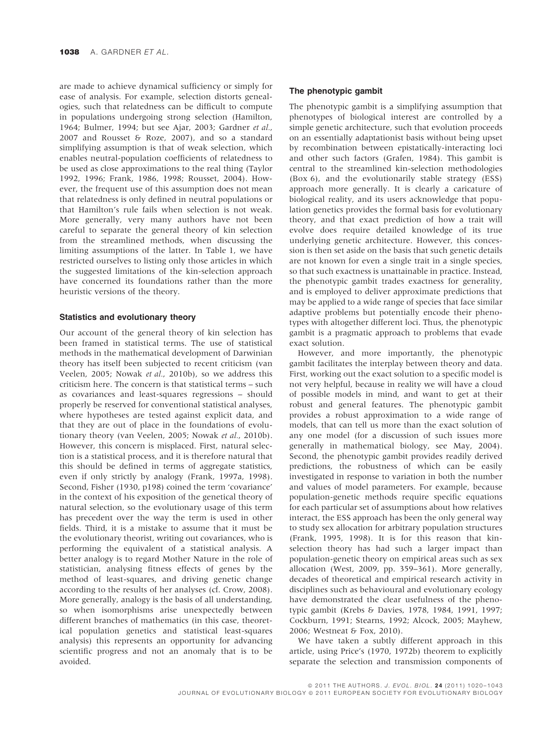are made to achieve dynamical sufficiency or simply for ease of analysis. For example, selection distorts genealogies, such that relatedness can be difficult to compute in populations undergoing strong selection (Hamilton, 1964; Bulmer, 1994; but see Ajar, 2003; Gardner et al., 2007 and Rousset & Roze, 2007), and so a standard simplifying assumption is that of weak selection, which enables neutral-population coefficients of relatedness to be used as close approximations to the real thing (Taylor 1992, 1996; Frank, 1986, 1998; Rousset, 2004). However, the frequent use of this assumption does not mean that relatedness is only defined in neutral populations or that Hamilton's rule fails when selection is not weak. More generally, very many authors have not been careful to separate the general theory of kin selection from the streamlined methods, when discussing the limiting assumptions of the latter. In Table 1, we have restricted ourselves to listing only those articles in which the suggested limitations of the kin-selection approach have concerned its foundations rather than the more heuristic versions of the theory.

#### Statistics and evolutionary theory

Our account of the general theory of kin selection has been framed in statistical terms. The use of statistical methods in the mathematical development of Darwinian theory has itself been subjected to recent criticism (van Veelen, 2005; Nowak et al., 2010b), so we address this criticism here. The concern is that statistical terms – such as covariances and least-squares regressions – should properly be reserved for conventional statistical analyses, where hypotheses are tested against explicit data, and that they are out of place in the foundations of evolutionary theory (van Veelen, 2005; Nowak et al., 2010b). However, this concern is misplaced. First, natural selection is a statistical process, and it is therefore natural that this should be defined in terms of aggregate statistics, even if only strictly by analogy (Frank, 1997a, 1998). Second, Fisher (1930, p198) coined the term 'covariance' in the context of his exposition of the genetical theory of natural selection, so the evolutionary usage of this term has precedent over the way the term is used in other fields. Third, it is a mistake to assume that it must be the evolutionary theorist, writing out covariances, who is performing the equivalent of a statistical analysis. A better analogy is to regard Mother Nature in the role of statistician, analysing fitness effects of genes by the method of least-squares, and driving genetic change according to the results of her analyses (cf. Crow, 2008). More generally, analogy is the basis of all understanding, so when isomorphisms arise unexpectedly between different branches of mathematics (in this case, theoretical population genetics and statistical least-squares analysis) this represents an opportunity for advancing scientific progress and not an anomaly that is to be avoided.

#### The phenotypic gambit

The phenotypic gambit is a simplifying assumption that phenotypes of biological interest are controlled by a simple genetic architecture, such that evolution proceeds on an essentially adaptationist basis without being upset by recombination between epistatically-interacting loci and other such factors (Grafen, 1984). This gambit is central to the streamlined kin-selection methodologies (Box 6), and the evolutionarily stable strategy (ESS) approach more generally. It is clearly a caricature of biological reality, and its users acknowledge that population genetics provides the formal basis for evolutionary theory, and that exact prediction of how a trait will evolve does require detailed knowledge of its true underlying genetic architecture. However, this concession is then set aside on the basis that such genetic details are not known for even a single trait in a single species, so that such exactness is unattainable in practice. Instead, the phenotypic gambit trades exactness for generality, and is employed to deliver approximate predictions that may be applied to a wide range of species that face similar adaptive problems but potentially encode their phenotypes with altogether different loci. Thus, the phenotypic gambit is a pragmatic approach to problems that evade exact solution.

However, and more importantly, the phenotypic gambit facilitates the interplay between theory and data. First, working out the exact solution to a specific model is not very helpful, because in reality we will have a cloud of possible models in mind, and want to get at their robust and general features. The phenotypic gambit provides a robust approximation to a wide range of models, that can tell us more than the exact solution of any one model (for a discussion of such issues more generally in mathematical biology, see May, 2004). Second, the phenotypic gambit provides readily derived predictions, the robustness of which can be easily investigated in response to variation in both the number and values of model parameters. For example, because population-genetic methods require specific equations for each particular set of assumptions about how relatives interact, the ESS approach has been the only general way to study sex allocation for arbitrary population structures (Frank, 1995, 1998). It is for this reason that kinselection theory has had such a larger impact than population-genetic theory on empirical areas such as sex allocation (West, 2009, pp. 359–361). More generally, decades of theoretical and empirical research activity in disciplines such as behavioural and evolutionary ecology have demonstrated the clear usefulness of the phenotypic gambit (Krebs & Davies, 1978, 1984, 1991, 1997; Cockburn, 1991; Stearns, 1992; Alcock, 2005; Mayhew, 2006; Westneat & Fox, 2010).

We have taken a subtly different approach in this article, using Price's (1970, 1972b) theorem to explicitly separate the selection and transmission components of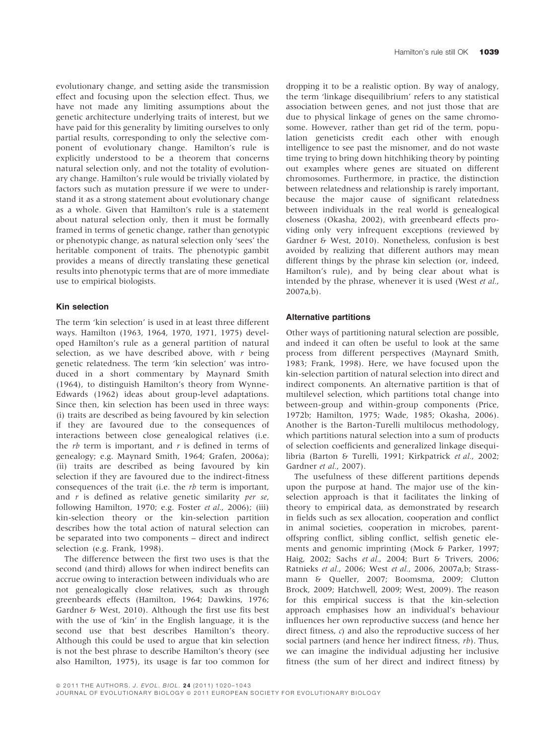evolutionary change, and setting aside the transmission effect and focusing upon the selection effect. Thus, we have not made any limiting assumptions about the genetic architecture underlying traits of interest, but we have paid for this generality by limiting ourselves to only partial results, corresponding to only the selective component of evolutionary change. Hamilton's rule is explicitly understood to be a theorem that concerns natural selection only, and not the totality of evolutionary change. Hamilton's rule would be trivially violated by factors such as mutation pressure if we were to understand it as a strong statement about evolutionary change as a whole. Given that Hamilton's rule is a statement about natural selection only, then it must be formally framed in terms of genetic change, rather than genotypic or phenotypic change, as natural selection only 'sees' the heritable component of traits. The phenotypic gambit provides a means of directly translating these genetical results into phenotypic terms that are of more immediate use to empirical biologists.

#### Kin selection

The term 'kin selection' is used in at least three different ways. Hamilton (1963, 1964, 1970, 1971, 1975) developed Hamilton's rule as a general partition of natural selection, as we have described above, with  $r$  being genetic relatedness. The term 'kin selection' was introduced in a short commentary by Maynard Smith (1964), to distinguish Hamilton's theory from Wynne-Edwards (1962) ideas about group-level adaptations. Since then, kin selection has been used in three ways: (i) traits are described as being favoured by kin selection if they are favoured due to the consequences of interactions between close genealogical relatives (i.e. the  $rb$  term is important, and  $r$  is defined in terms of genealogy; e.g. Maynard Smith, 1964; Grafen, 2006a); (ii) traits are described as being favoured by kin selection if they are favoured due to the indirect-fitness consequences of the trait (i.e. the  $rb$  term is important, and  $r$  is defined as relative genetic similarity per se, following Hamilton, 1970; e.g. Foster et al., 2006); (iii) kin-selection theory or the kin-selection partition describes how the total action of natural selection can be separated into two components – direct and indirect selection (e.g. Frank, 1998).

The difference between the first two uses is that the second (and third) allows for when indirect benefits can accrue owing to interaction between individuals who are not genealogically close relatives, such as through greenbeards effects (Hamilton, 1964; Dawkins, 1976; Gardner & West, 2010). Although the first use fits best with the use of 'kin' in the English language, it is the second use that best describes Hamilton's theory. Although this could be used to argue that kin selection is not the best phrase to describe Hamilton's theory (see also Hamilton, 1975), its usage is far too common for

dropping it to be a realistic option. By way of analogy, the term 'linkage disequilibrium' refers to any statistical association between genes, and not just those that are due to physical linkage of genes on the same chromosome. However, rather than get rid of the term, population geneticists credit each other with enough intelligence to see past the misnomer, and do not waste time trying to bring down hitchhiking theory by pointing out examples where genes are situated on different chromosomes. Furthermore, in practice, the distinction between relatedness and relationship is rarely important, because the major cause of significant relatedness between individuals in the real world is genealogical closeness (Okasha, 2002), with greenbeard effects providing only very infrequent exceptions (reviewed by Gardner & West, 2010). Nonetheless, confusion is best avoided by realizing that different authors may mean different things by the phrase kin selection (or, indeed, Hamilton's rule), and by being clear about what is intended by the phrase, whenever it is used (West et al., 2007a,b).

#### Alternative partitions

Other ways of partitioning natural selection are possible, and indeed it can often be useful to look at the same process from different perspectives (Maynard Smith, 1983; Frank, 1998). Here, we have focused upon the kin-selection partition of natural selection into direct and indirect components. An alternative partition is that of multilevel selection, which partitions total change into between-group and within-group components (Price, 1972b; Hamilton, 1975; Wade, 1985; Okasha, 2006). Another is the Barton-Turelli multilocus methodology, which partitions natural selection into a sum of products of selection coefficients and generalized linkage disequilibria (Barton & Turelli, 1991; Kirkpatrick et al., 2002; Gardner et al., 2007).

The usefulness of these different partitions depends upon the purpose at hand. The major use of the kinselection approach is that it facilitates the linking of theory to empirical data, as demonstrated by research in fields such as sex allocation, cooperation and conflict in animal societies, cooperation in microbes, parentoffspring conflict, sibling conflict, selfish genetic elements and genomic imprinting (Mock & Parker, 1997; Haig, 2002; Sachs et al., 2004; Burt & Trivers, 2006; Ratnieks et al., 2006; West et al., 2006, 2007a,b; Strassmann & Queller, 2007; Boomsma, 2009; Clutton Brock, 2009; Hatchwell, 2009; West, 2009). The reason for this empirical success is that the kin-selection approach emphasises how an individual's behaviour influences her own reproductive success (and hence her direct fitness,  $c$ ) and also the reproductive success of her social partners (and hence her indirect fitness, rb). Thus, we can imagine the individual adjusting her inclusive fitness (the sum of her direct and indirect fitness) by

JOURNAL OF EVOLUTIONARY BIOLOGY ª 2011 EUROPEAN SOCIETY FOR EVOLUTIONARY BIOLOGY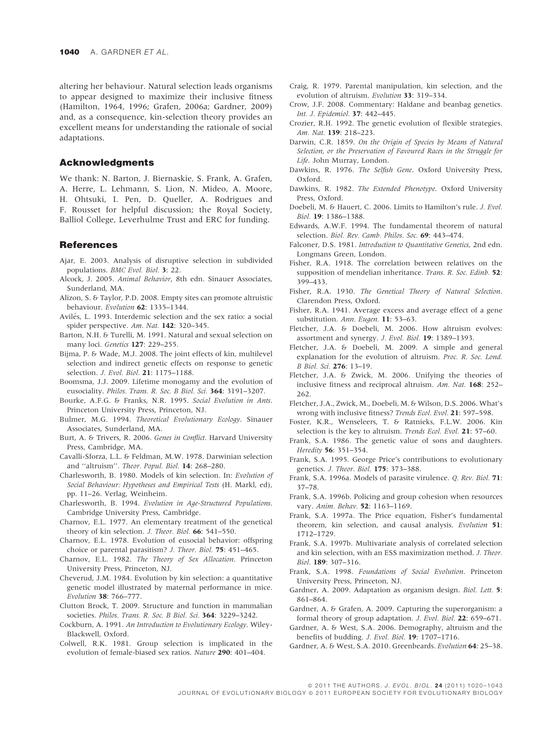altering her behaviour. Natural selection leads organisms to appear designed to maximize their inclusive fitness (Hamilton, 1964, 1996; Grafen, 2006a; Gardner, 2009) and, as a consequence, kin-selection theory provides an excellent means for understanding the rationale of social adaptations.

#### Acknowledgments

We thank: N. Barton, J. Biernaskie, S. Frank, A. Grafen, A. Herre, L. Lehmann, S. Lion, N. Mideo, A. Moore, H. Ohtsuki, I. Pen, D. Queller, A. Rodrigues and F. Rousset for helpful discussion; the Royal Society, Balliol College, Leverhulme Trust and ERC for funding.

#### **References**

- Ajar, E. 2003. Analysis of disruptive selection in subdivided populations. BMC Evol. Biol. 3: 22.
- Alcock, J. 2005. Animal Behavior, 8th edn. Sinauer Associates, Sunderland, MA.
- Alizon, S. & Taylor, P.D. 2008. Empty sites can promote altruistic behaviour. Evolution 62: 1335–1344.
- Avilés, L. 1993. Interdemic selection and the sex ratio: a social spider perspective. Am. Nat. 142: 320-345.
- Barton, N.H. & Turelli, M. 1991. Natural and sexual selection on many loci. Genetics 127: 229–255.
- Bijma, P. & Wade, M.J. 2008. The joint effects of kin, multilevel selection and indirect genetic effects on response to genetic selection. J. Evol. Biol. 21: 1175–1188.
- Boomsma, J.J. 2009. Lifetime monogamy and the evolution of eusociality. Philos. Trans. R. Soc. B Biol. Sci. 364: 3191-3207.
- Bourke, A.F.G. & Franks, N.R. 1995. Social Evolution in Ants. Princeton University Press, Princeton, NJ.
- Bulmer, M.G. 1994. Theoretical Evolutionary Ecology. Sinauer Associates, Sunderland, MA.
- Burt, A. & Trivers, R. 2006. Genes in Conflict. Harvard University Press, Cambridge, MA.
- Cavalli-Sforza, L.L. & Feldman, M.W. 1978. Darwinian selection and ''altruism''. Theor. Popul. Biol. 14: 268–280.
- Charlesworth, B. 1980. Models of kin selection. In: Evolution of Social Behaviour: Hypotheses and Empirical Tests (H. Markl, ed), pp. 11–26. Verlag, Weinheim.
- Charlesworth, B. 1994. Evolution in Age-Structured Populations. Cambridge University Press, Cambridge.
- Charnov, E.L. 1977. An elementary treatment of the genetical theory of kin selection. J. Theor. Biol. 66: 541-550.
- Charnov, E.L. 1978. Evolution of eusocial behavior: offspring choice or parental parasitism? J. Theor. Biol. 75: 451–465.
- Charnov, E.L. 1982. The Theory of Sex Allocation. Princeton University Press, Princeton, NJ.
- Cheverud, J.M. 1984. Evolution by kin selection: a quantitative genetic model illustrated by maternal performance in mice. Evolution 38: 766–777.
- Clutton Brock, T. 2009. Structure and function in mammalian societies. Philos. Trans. R. Soc. B Biol. Sci. 364: 3229-3242.
- Cockburn, A. 1991. An Introduction to Evolutionary Ecology. Wiley-Blackwell, Oxford.
- Colwell, R.K. 1981. Group selection is implicated in the evolution of female-biased sex ratios. Nature 290: 401–404.
- Craig, R. 1979. Parental manipulation, kin selection, and the evolution of altruism. Evolution 33: 319–334.
- Crow, J.F. 2008. Commentary: Haldane and beanbag genetics. Int. J. Epidemiol. 37: 442–445.
- Crozier, R.H. 1992. The genetic evolution of flexible strategies. Am. Nat. 139: 218–223.
- Darwin, C.R. 1859. On the Origin of Species by Means of Natural Selection, or the Preservation of Favoured Races in the Struggle for Life. John Murray, London.
- Dawkins, R. 1976. The Selfish Gene. Oxford University Press, Oxford.
- Dawkins, R. 1982. The Extended Phenotype. Oxford University Press, Oxford.
- Doebeli, M. & Hauert, C. 2006. Limits to Hamilton's rule. J. Evol. Biol. 19: 1386–1388.
- Edwards, A.W.F. 1994. The fundamental theorem of natural selection. Biol. Rev. Camb. Philos. Soc. 69: 443-474.
- Falconer, D.S. 1981. Introduction to Quantitative Genetics, 2nd edn. Longmans Green, London.
- Fisher, R.A. 1918. The correlation between relatives on the supposition of mendelian inheritance. Trans. R. Soc. Edinb. 52: 399–433.
- Fisher, R.A. 1930. The Genetical Theory of Natural Selection. Clarendon Press, Oxford.
- Fisher, R.A. 1941. Average excess and average effect of a gene substitution. Ann. Eugen. 11: 53-63.
- Fletcher, J.A. & Doebeli, M. 2006. How altruism evolves: assortment and synergy. J. Evol. Biol. 19: 1389–1393.
- Fletcher, J.A. & Doebeli, M. 2009. A simple and general explanation for the evolution of altruism. Proc. R. Soc. Lond. B Biol. Sci. 276: 13–19.
- Fletcher, J.A. & Zwick, M. 2006. Unifying the theories of inclusive fitness and reciprocal altruism. Am. Nat. 168: 252– 262.
- Fletcher, J.A., Zwick, M., Doebeli, M. & Wilson, D.S. 2006. What's wrong with inclusive fitness? Trends Ecol. Evol. 21: 597–598.
- Foster, K.R., Wenseleers, T. & Ratnieks, F.L.W. 2006. Kin selection is the key to altruism. Trends Ecol. Evol. 21: 57-60.
- Frank, S.A. 1986. The genetic value of sons and daughters. Heredity 56: 351–354.
- Frank, S.A. 1995. George Price's contributions to evolutionary genetics. J. Theor. Biol. 175: 373–388.
- Frank, S.A. 1996a. Models of parasite virulence. Q. Rev. Biol. 71: 37–78.
- Frank, S.A. 1996b. Policing and group cohesion when resources vary. Anim. Behav. 52: 1163–1169.
- Frank, S.A. 1997a. The Price equation, Fisher's fundamental theorem, kin selection, and causal analysis. Evolution 51: 1712–1729.
- Frank, S.A. 1997b. Multivariate analysis of correlated selection and kin selection, with an ESS maximization method. J. Theor. Biol. 189: 307–316.
- Frank, S.A. 1998. Foundations of Social Evolution. Princeton University Press, Princeton, NJ.
- Gardner, A. 2009. Adaptation as organism design. Biol. Lett. 5: 861–864.
- Gardner, A. & Grafen, A. 2009. Capturing the superorganism: a formal theory of group adaptation. J. Evol. Biol. 22: 659–671.
- Gardner, A. & West, S.A. 2006. Demography, altruism and the benefits of budding. J. Evol. Biol. 19: 1707–1716.
- Gardner, A. & West, S.A. 2010. Greenbeards. Evolution 64: 25–38.
- ª 2011 THE AUTHORS. J. EVOL. BIOL. 2 4 (2011) 1020–1043 JOURNAL OF EVOLUTIONARY BIOLOGY ª 2011 EUROPEAN SOCIETY FOR EVOLUTIONARY BIOLOGY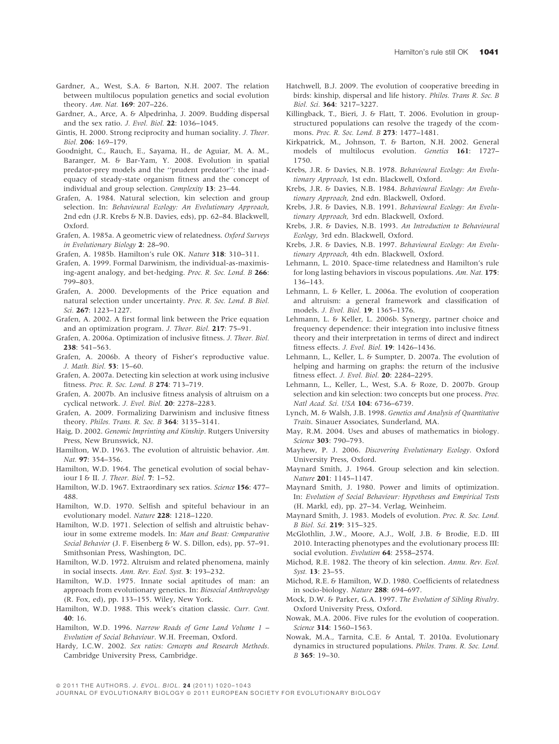- Gardner, A., West, S.A. & Barton, N.H. 2007. The relation between multilocus population genetics and social evolution theory. Am. Nat. 169: 207–226.
- Gardner, A., Arce, A. & Alpedrinha, J. 2009. Budding dispersal and the sex ratio. J. Evol. Biol. 22: 1036–1045.
- Gintis, H. 2000. Strong reciprocity and human sociality. J. Theor. Biol. 206: 169–179.
- Goodnight, C., Rauch, E., Sayama, H., de Aguiar, M. A. M., Baranger, M. & Bar-Yam, Y. 2008. Evolution in spatial predator-prey models and the ''prudent predator'': the inadequacy of steady-state organism fitness and the concept of individual and group selection. Complexity 13: 23–44.
- Grafen, A. 1984. Natural selection, kin selection and group selection. In: Behavioural Ecology: An Evolutionary Approach, 2nd edn (J.R. Krebs & N.B. Davies, eds), pp. 62–84. Blackwell, Oxford.
- Grafen, A. 1985a. A geometric view of relatedness. Oxford Surveys in Evolutionary Biology 2: 28–90.
- Grafen, A. 1985b. Hamilton's rule OK. Nature 318: 310–311.
- Grafen, A. 1999. Formal Darwinism, the individual-as-maximising-agent analogy, and bet-hedging. Proc. R. Soc. Lond. B 266: 799–803.
- Grafen, A. 2000. Developments of the Price equation and natural selection under uncertainty. Proc. R. Soc. Lond. B Biol. Sci. 267: 1223–1227.
- Grafen, A. 2002. A first formal link between the Price equation and an optimization program. J. Theor. Biol. 217: 75–91.
- Grafen, A. 2006a. Optimization of inclusive fitness. J. Theor. Biol. 238: 541–563.
- Grafen, A. 2006b. A theory of Fisher's reproductive value. J. Math. Biol. 53: 15–60.
- Grafen, A. 2007a. Detecting kin selection at work using inclusive fitness. Proc. R. Soc. Lond. B 274: 713–719.
- Grafen, A. 2007b. An inclusive fitness analysis of altruism on a cyclical network. J. Evol. Biol. 20: 2278–2283.
- Grafen, A. 2009. Formalizing Darwinism and inclusive fitness theory. Philos. Trans. R. Soc. B 364: 3135–3141.
- Haig, D. 2002. Genomic Imprinting and Kinship. Rutgers University Press, New Brunswick, NJ.
- Hamilton, W.D. 1963. The evolution of altruistic behavior. Am. Nat. 97: 354–356.
- Hamilton, W.D. 1964. The genetical evolution of social behaviour I & II. J. Theor. Biol. 7: 1–52.
- Hamilton, W.D. 1967. Extraordinary sex ratios. Science 156: 477– 488.
- Hamilton, W.D. 1970. Selfish and spiteful behaviour in an evolutionary model. Nature 228: 1218–1220.
- Hamilton, W.D. 1971. Selection of selfish and altruistic behaviour in some extreme models. In: Man and Beast: Comparative Social Behavior (J. F. Eisenberg & W. S. Dillon, eds), pp. 57–91. Smithsonian Press, Washington, DC.
- Hamilton, W.D. 1972. Altruism and related phenomena, mainly in social insects. Ann. Rev. Ecol. Syst. 3: 193–232.
- Hamilton, W.D. 1975. Innate social aptitudes of man: an approach from evolutionary genetics. In: Biosocial Anthropology (R. Fox, ed), pp. 133–155. Wiley, New York.
- Hamilton, W.D. 1988. This week's citation classic. Curr. Cont. 40: 16.
- Hamilton, W.D. 1996. Narrow Roads of Gene Land Volume 1 Evolution of Social Behaviour. W.H. Freeman, Oxford.
- Hardy, I.C.W. 2002. Sex ratios: Concepts and Research Methods. Cambridge University Press, Cambridge.
- Hatchwell, B.J. 2009. The evolution of cooperative breeding in birds: kinship, dispersal and life history. Philos. Trans R. Soc. B Biol. Sci. 364: 3217–3227.
- Killingback, T., Bieri, J. & Flatt, T. 2006. Evolution in groupstructured populations can resolve the tragedy of the ccommons. Proc. R. Soc. Lond. B 273: 1477–1481.
- Kirkpatrick, M., Johnson, T. & Barton, N.H. 2002. General models of multilocus evolution. Genetics 161: 1727– 1750.
- Krebs, J.R. & Davies, N.B. 1978. Behavioural Ecology: An Evolutionary Approach, 1st edn. Blackwell, Oxford.
- Krebs, J.R. & Davies, N.B. 1984. Behavioural Ecology: An Evolutionary Approach, 2nd edn. Blackwell, Oxford.
- Krebs, J.R. & Davies, N.B. 1991. Behavioural Ecology: An Evolutionary Approach, 3rd edn. Blackwell, Oxford.
- Krebs, J.R. & Davies, N.B. 1993. An Introduction to Behavioural Ecology, 3rd edn. Blackwell, Oxford.
- Krebs, J.R. & Davies, N.B. 1997. Behavioural Ecology: An Evolutionary Approach, 4th edn. Blackwell, Oxford.
- Lehmann, L. 2010. Space-time relatedness and Hamilton's rule for long lasting behaviors in viscous populations. Am. Nat. 175: 136–143.
- Lehmann, L. & Keller, L. 2006a. The evolution of cooperation and altruism: a general framework and classification of models. J. Evol. Biol. 19: 1365–1376.
- Lehmann, L. & Keller, L. 2006b. Synergy, partner choice and frequency dependence: their integration into inclusive fitness theory and their interpretation in terms of direct and indirect fitness effects. J. Evol. Biol. 19: 1426–1436.
- Lehmann, L., Keller, L. & Sumpter, D. 2007a. The evolution of helping and harming on graphs: the return of the inclusive fitness effect. J. Evol. Biol. 20: 2284–2295.
- Lehmann, L., Keller, L., West, S.A. & Roze, D. 2007b. Group selection and kin selection: two concepts but one process. Proc. Natl Acad. Sci. USA 104: 6736–6739.
- Lynch, M. & Walsh, J.B. 1998. Genetics and Analysis of Quantitative Traits. Sinauer Associates, Sunderland, MA.
- May, R.M. 2004. Uses and abuses of mathematics in biology. Science 303: 790–793.
- Mayhew, P. J. 2006. Discovering Evolutionary Ecology. Oxford University Press, Oxford.
- Maynard Smith, J. 1964. Group selection and kin selection. Nature 201: 1145–1147.
- Maynard Smith, J. 1980. Power and limits of optimization. In: Evolution of Social Behaviour: Hypotheses and Empirical Tests (H. Markl, ed), pp. 27–34. Verlag, Weinheim.
- Maynard Smith, J. 1983. Models of evolution. Proc. R. Soc. Lond. B Biol. Sci. 219: 315–325.
- McGlothlin, J.W., Moore, A.J., Wolf, J.B. & Brodie, E.D. III 2010. Interacting phenotypes and the evolutionary process III: social evolution. Evolution 64: 2558-2574.
- Michod, R.E. 1982. The theory of kin selection. Annu. Rev. Ecol. Syst. 13: 23–55.
- Michod, R.E. & Hamilton, W.D. 1980. Coefficients of relatedness in socio-biology. Nature 288: 694–697.
- Mock, D.W. & Parker, G.A. 1997. The Evolution of Sibling Rivalry. Oxford University Press, Oxford.
- Nowak, M.A. 2006. Five rules for the evolution of cooperation. Science 314: 1560–1563.
- Nowak, M.A., Tarnita, C.E. & Antal, T. 2010a. Evolutionary dynamics in structured populations. Philos. Trans. R. Soc. Lond. B 365: 19–30.

JOURNAL OF EVOLUTIONARY BIOLOGY @ 2011 EUROPEAN SOCIETY FOR EVOLUTIONARY BIOLOGY

ª 2011 THE AUTHORS. J. EVOL. BIOL. 2 4 (2011) 1020–1043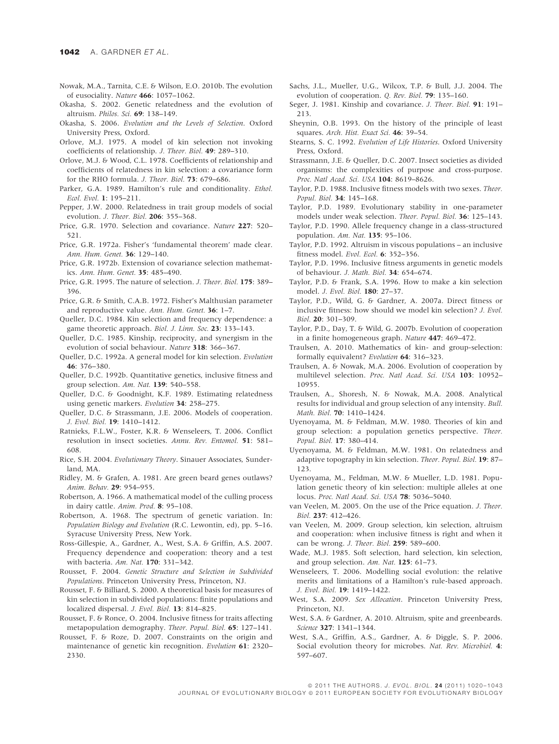- Nowak, M.A., Tarnita, C.E. & Wilson, E.O. 2010b. The evolution of eusociality. Nature 466: 1057–1062.
- Okasha, S. 2002. Genetic relatedness and the evolution of altruism. Philos. Sci. 69: 138–149.
- Okasha, S. 2006. Evolution and the Levels of Selection. Oxford University Press, Oxford.
- Orlove, M.J. 1975. A model of kin selection not invoking coefficients of relationship. J. Theor. Biol. 49: 289–310.
- Orlove, M.J. & Wood, C.L. 1978. Coefficients of relationship and coefficients of relatedness in kin selection: a covariance form for the RHO formula. J. Theor. Biol. 73: 679–686.
- Parker, G.A. 1989. Hamilton's rule and conditionality. Ethol. Ecol. Evol. 1: 195–211.
- Pepper, J.W. 2000. Relatedness in trait group models of social evolution. J. Theor. Biol. 206: 355–368.
- Price, G.R. 1970. Selection and covariance. Nature 227: 520-521.
- Price, G.R. 1972a. Fisher's 'fundamental theorem' made clear. Ann. Hum. Genet. 36: 129–140.
- Price, G.R. 1972b. Extension of covariance selection mathematics. Ann. Hum. Genet. 35: 485–490.
- Price, G.R. 1995. The nature of selection. J. Theor. Biol. 175: 389-396.
- Price, G.R. & Smith, C.A.B. 1972. Fisher's Malthusian parameter and reproductive value. Ann. Hum. Genet. 36: 1–7.
- Queller, D.C. 1984. Kin selection and frequency dependence: a game theoretic approach. Biol. J. Linn. Soc. 23: 133-143.
- Queller, D.C. 1985. Kinship, reciprocity, and synergism in the evolution of social behaviour. Nature 318: 366–367.
- Queller, D.C. 1992a. A general model for kin selection. Evolution 46: 376–380.
- Queller, D.C. 1992b. Quantitative genetics, inclusive fitness and group selection. Am. Nat. 139: 540–558.
- Queller, D.C. & Goodnight, K.F. 1989. Estimating relatedness using genetic markers. Evolution 34: 258–275.
- Queller, D.C. & Strassmann, J.E. 2006. Models of cooperation. J. Evol. Biol. 19: 1410–1412.
- Ratnieks, F.L.W., Foster, K.R. & Wenseleers, T. 2006. Conflict resolution in insect societies. Annu. Rev. Entomol. 51: 581– 608.
- Rice, S.H. 2004. Evolutionary Theory. Sinauer Associates, Sunderland, MA.
- Ridley, M. & Grafen, A. 1981. Are green beard genes outlaws? Anim. Behav. 29: 954–955.
- Robertson, A. 1966. A mathematical model of the culling process in dairy cattle. Anim. Prod. 8: 95–108.
- Robertson, A. 1968. The spectrum of genetic variation. In: Population Biology and Evolution (R.C. Lewontin, ed), pp. 5–16. Syracuse University Press, New York.
- Ross-Gillespie, A., Gardner, A., West, S.A. & Griffin, A.S. 2007. Frequency dependence and cooperation: theory and a test with bacteria. Am. Nat. 170: 331–342.
- Rousset, F. 2004. Genetic Structure and Selection in Subdivided Populations. Princeton University Press, Princeton, NJ.
- Rousset, F. & Billiard, S. 2000. A theoretical basis for measures of kin selection in subdivided populations: finite populations and localized dispersal. J. Evol. Biol. 13: 814–825.
- Rousset, F. & Ronce, O. 2004. Inclusive fitness for traits affecting metapopulation demography. Theor. Popul. Biol. 65: 127–141.
- Rousset, F. & Roze, D. 2007. Constraints on the origin and maintenance of genetic kin recognition. Evolution 61: 2320– 2330.
- Sachs, J.L., Mueller, U.G., Wilcox, T.P. & Bull, J.J. 2004. The evolution of cooperation. Q. Rev. Biol. 79: 135–160.
- Seger, J. 1981. Kinship and covariance. J. Theor. Biol. 91: 191– 213.
- Sheynin, O.B. 1993. On the history of the principle of least squares. Arch. Hist. Exact Sci. 46: 39-54.
- Stearns, S. C. 1992. Evolution of Life Histories. Oxford University Press, Oxford.
- Strassmann, J.E. & Queller, D.C. 2007. Insect societies as divided organisms: the complexities of purpose and cross-purpose. Proc. Natl Acad. Sci. USA 104: 8619–8626.
- Taylor, P.D. 1988. Inclusive fitness models with two sexes. Theor. Popul. Biol. 34: 145–168.
- Taylor, P.D. 1989. Evolutionary stability in one-parameter models under weak selection. Theor. Popul. Biol. 36: 125–143.
- Taylor, P.D. 1990. Allele frequency change in a class-structured population. Am. Nat. 135: 95–106.
- Taylor, P.D. 1992. Altruism in viscous populations an inclusive fitness model. Evol. Ecol. 6: 352–356.
- Taylor, P.D. 1996. Inclusive fitness arguments in genetic models of behaviour. J. Math. Biol. 34: 654–674.
- Taylor, P.D. & Frank, S.A. 1996. How to make a kin selection model. J. Evol. Biol. 180: 27–37.
- Taylor, P.D., Wild, G. & Gardner, A. 2007a. Direct fitness or inclusive fitness: how should we model kin selection? J. Evol. Biol. 20: 301–309.
- Taylor, P.D., Day, T. & Wild, G. 2007b. Evolution of cooperation in a finite homogeneous graph. Nature 447: 469–472.
- Traulsen, A. 2010. Mathematics of kin- and group-selection: formally equivalent? Evolution 64: 316–323.
- Traulsen, A. & Nowak, M.A. 2006. Evolution of cooperation by multilevel selection. Proc. Natl Acad. Sci. USA 103: 10952– 10955.
- Traulsen, A., Shoresh, N. & Nowak, M.A. 2008. Analytical results for individual and group selection of any intensity. Bull. Math. Biol. 70: 1410–1424.
- Uyenoyama, M. & Feldman, M.W. 1980. Theories of kin and group selection: a population genetics perspective. Theor. Popul. Biol. 17: 380–414.
- Uyenoyama, M. & Feldman, M.W. 1981. On relatedness and adaptive topography in kin selection. Theor. Popul. Biol. 19: 87– 123.
- Uyenoyama, M., Feldman, M.W. & Mueller, L.D. 1981. Population genetic theory of kin selection: multiple alleles at one locus. Proc. Natl Acad. Sci. USA 78: 5036–5040.
- van Veelen, M. 2005. On the use of the Price equation. J. Theor. Biol. 237: 412–426.
- van Veelen, M. 2009. Group selection, kin selection, altruism and cooperation: when inclusive fitness is right and when it can be wrong. J. Theor. Biol. 259: 589–600.
- Wade, M.J. 1985. Soft selection, hard selection, kin selection, and group selection. Am. Nat. 125: 61–73.
- Wenseleers, T. 2006. Modelling social evolution: the relative merits and limitations of a Hamilton's rule-based approach. J. Evol. Biol. 19: 1419–1422.
- West, S.A. 2009. Sex Allocation. Princeton University Press, Princeton, NJ.
- West, S.A. & Gardner, A. 2010. Altruism, spite and greenbeards. Science 327: 1341–1344.
- West, S.A., Griffin, A.S., Gardner, A. & Diggle, S. P. 2006. Social evolution theory for microbes. Nat. Rev. Microbiol. 4: 597–607.